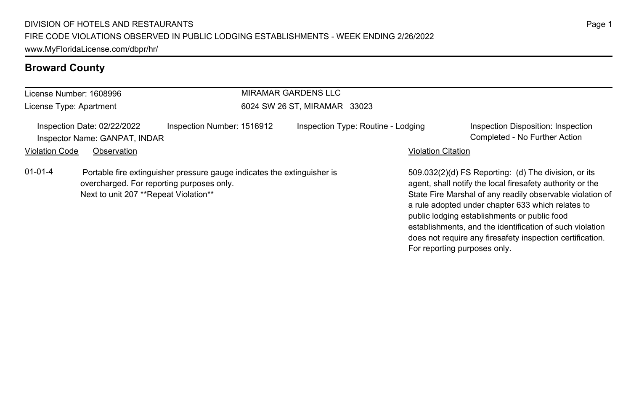| License Number: 1608996 |                                                                                    |                                                                         |                              | <b>MIRAMAR GARDENS LLC</b>         |                              |                                                                                                                                                                                                                                                                                                                                                                                                              |
|-------------------------|------------------------------------------------------------------------------------|-------------------------------------------------------------------------|------------------------------|------------------------------------|------------------------------|--------------------------------------------------------------------------------------------------------------------------------------------------------------------------------------------------------------------------------------------------------------------------------------------------------------------------------------------------------------------------------------------------------------|
| License Type: Apartment |                                                                                    |                                                                         | 6024 SW 26 ST. MIRAMAR 33023 |                                    |                              |                                                                                                                                                                                                                                                                                                                                                                                                              |
|                         | Inspection Date: 02/22/2022<br>Inspector Name: GANPAT, INDAR                       | Inspection Number: 1516912                                              |                              | Inspection Type: Routine - Lodging |                              | Inspection Disposition: Inspection<br>Completed - No Further Action                                                                                                                                                                                                                                                                                                                                          |
| <b>Violation Code</b>   | Observation                                                                        |                                                                         |                              |                                    | <b>Violation Citation</b>    |                                                                                                                                                                                                                                                                                                                                                                                                              |
| $01 - 01 - 4$           | overcharged. For reporting purposes only.<br>Next to unit 207 **Repeat Violation** | Portable fire extinguisher pressure gauge indicates the extinguisher is |                              |                                    | For reporting purposes only. | 509.032(2)(d) FS Reporting: (d) The division, or its<br>agent, shall notify the local firesafety authority or the<br>State Fire Marshal of any readily observable violation of<br>a rule adopted under chapter 633 which relates to<br>public lodging establishments or public food<br>establishments, and the identification of such violation<br>does not require any firesafety inspection certification. |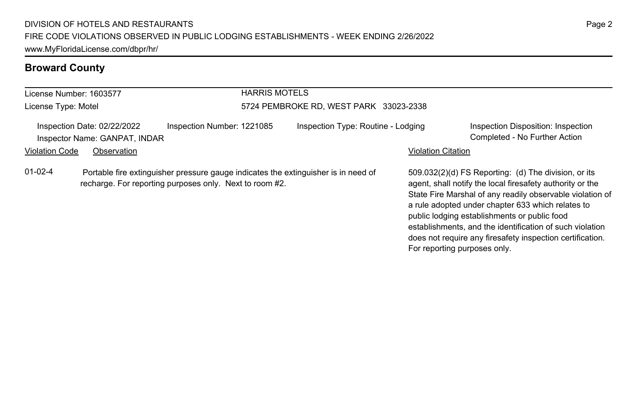| License Number: 1603577 |                                                              | <b>HARRIS MOTELS</b>                                                                                                                          |                                        |                           |                                                                                                                                                                                                                                                                                                                                                                                                                                              |  |  |
|-------------------------|--------------------------------------------------------------|-----------------------------------------------------------------------------------------------------------------------------------------------|----------------------------------------|---------------------------|----------------------------------------------------------------------------------------------------------------------------------------------------------------------------------------------------------------------------------------------------------------------------------------------------------------------------------------------------------------------------------------------------------------------------------------------|--|--|
| License Type: Motel     |                                                              |                                                                                                                                               | 5724 PEMBROKE RD, WEST PARK 33023-2338 |                           |                                                                                                                                                                                                                                                                                                                                                                                                                                              |  |  |
|                         | Inspection Date: 02/22/2022<br>Inspector Name: GANPAT, INDAR | Inspection Number: 1221085                                                                                                                    | Inspection Type: Routine - Lodging     |                           | Inspection Disposition: Inspection<br>Completed - No Further Action                                                                                                                                                                                                                                                                                                                                                                          |  |  |
| <b>Violation Code</b>   | Observation                                                  |                                                                                                                                               |                                        | <b>Violation Citation</b> |                                                                                                                                                                                                                                                                                                                                                                                                                                              |  |  |
| $01-02-4$               |                                                              | Portable fire extinguisher pressure gauge indicates the extinguisher is in need of<br>recharge. For reporting purposes only. Next to room #2. |                                        |                           | 509.032(2)(d) FS Reporting: (d) The division, or its<br>agent, shall notify the local firesafety authority or the<br>State Fire Marshal of any readily observable violation of<br>a rule adopted under chapter 633 which relates to<br>public lodging establishments or public food<br>establishments, and the identification of such violation<br>does not require any firesafety inspection certification.<br>For reporting purposes only. |  |  |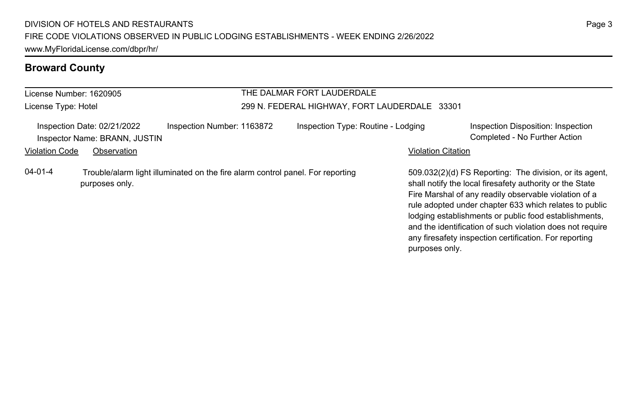#### License Number: 1620905 License Type: Hotel THE DALMAR FORT LAUDERDALE 299 N. FEDERAL HIGHWAY, FORT LAUDERDALE 33301 Inspection Date: 02/21/2022 Inspection Number: 1163872 Inspection Type: Routine - Lodging Inspection Disposition: Inspection Inspector Name: BRANN, JUSTIN Completed - No Further Action Violation Code Observation **Violation Code** Observation **Violation** Violation Citation Citation **Violation** 509.032(2)(d) FS Reporting: The division, or its agent, shall notify the local firesafety authority or the State Fire Marshal of any readily observable violation of a rule adopted under chapter 633 which relates to public lodging establishments or public food establishments, and the identification of such violation does not require any firesafety inspection certification. For reporting 04-01-4 Trouble/alarm light illuminated on the fire alarm control panel. For reporting purposes only.

purposes only.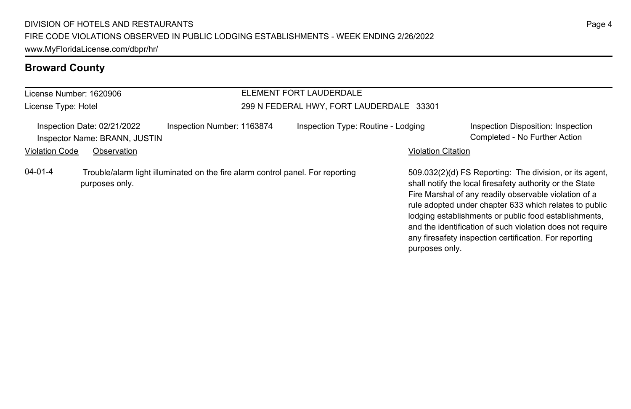#### License Number: 1620906 License Type: Hotel ELEMENT FORT LAUDERDALE 299 N FEDERAL HWY, FORT LAUDERDALE 33301 Inspection Date: 02/21/2022 Inspection Number: 1163874 Inspection Type: Routine - Lodging Inspection Disposition: Inspection Inspector Name: BRANN, JUSTIN Completed - No Further Action Violation Code Observation **Violation Code** Observation **Violation** Violation Citation Citation **Violation** 509.032(2)(d) FS Reporting: The division, or its agent, shall notify the local firesafety authority or the State Fire Marshal of any readily observable violation of a rule adopted under chapter 633 which relates to public lodging establishments or public food establishments, and the identification of such violation does not require 04-01-4 Trouble/alarm light illuminated on the fire alarm control panel. For reporting purposes only.

any firesafety inspection certification. For reporting

purposes only.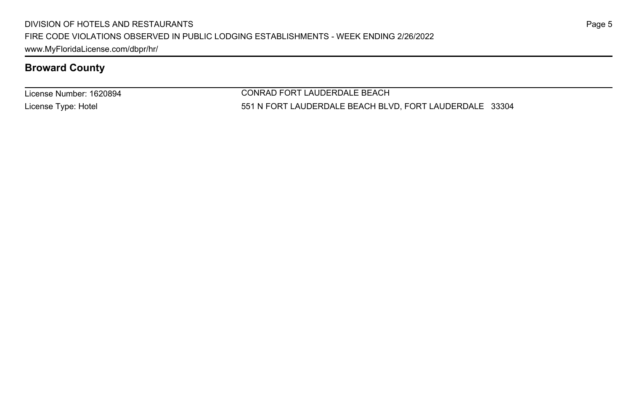License Number: 1620894 License Type: Hotel

CONRAD FORT LAUDERDALE BEACH 551 N FORT LAUDERDALE BEACH BLVD, FORT LAUDERDALE 33304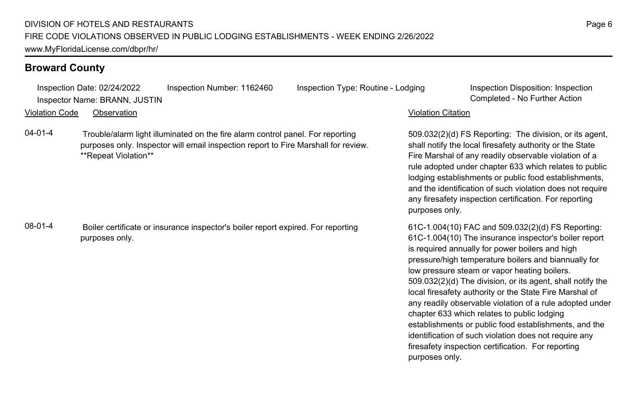Inspection Date: 02/24/2022 Inspection Number: 1162460 Inspection Type: Routine - Lodging Inspection Disposition: Inspection Inspector Name: BRANN, JUSTIN Completed - No Further Action

Violation Code Observation Violation Citation

04-01-4 Trouble/alarm light illuminated on the fire alarm control panel. For reporting purposes only. Inspector will email inspection report to Fire Marshall for review. \*\*Repeat Violation\*\*

08-01-4 Boiler certificate or insurance inspector's boiler report expired. For reporting purposes only.

509.032(2)(d) FS Reporting: The division, or its agent, shall notify the local firesafety authority or the State Fire Marshal of any readily observable violation of a rule adopted under chapter 633 which relates to public lodging establishments or public food establishments, and the identification of such violation does not require any firesafety inspection certification. For reporting purposes only.

61C-1.004(10) FAC and 509.032(2)(d) FS Reporting: 61C-1.004(10) The insurance inspector's boiler report is required annually for power boilers and high pressure/high temperature boilers and biannually for low pressure steam or vapor heating boilers. 509.032(2)(d) The division, or its agent, shall notify the local firesafety authority or the State Fire Marshal of any readily observable violation of a rule adopted under chapter 633 which relates to public lodging establishments or public food establishments, and the identification of such violation does not require any firesafety inspection certification. For reporting purposes only.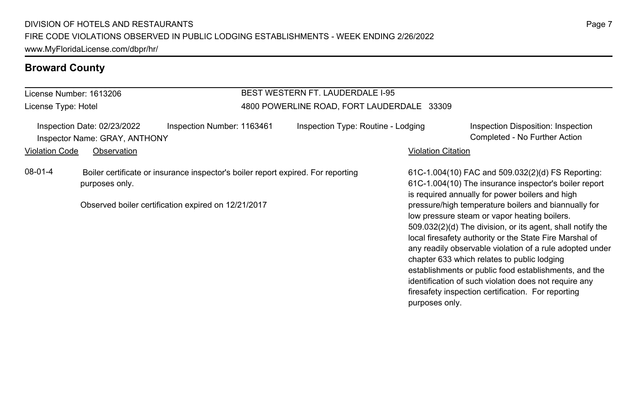#### License Number: 1613206 License Type: Hotel BEST WESTERN FT. LAUDERDALE I-95 4800 POWERLINE ROAD, FORT LAUDERDALE 33309 Inspection Date: 02/23/2022 Inspection Number: 1163461 Inspection Type: Routine - Lodging Inspection Disposition: Inspection Inspector Name: GRAY, ANTHONY Completed - No Further Action Violation Code Observation **Violation Code** Observation **Violation** Violation Citation Citation Citation Citation 61C-1.004(10) FAC and 509.032(2)(d) FS Reporting: 61C-1.004(10) The insurance inspector's boiler report is required annually for power boilers and high pressure/high temperature boilers and biannually for low pressure steam or vapor heating boilers. 509.032(2)(d) The division, or its agent, shall notify the local firesafety authority or the State Fire Marshal of any readily observable violation of a rule adopted under chapter 633 which relates to public lodging establishments or public food establishments, and the identification of such violation does not require any firesafety inspection certification. For reporting 08-01-4 Boiler certificate or insurance inspector's boiler report expired. For reporting purposes only. Observed boiler certification expired on 12/21/2017

purposes only.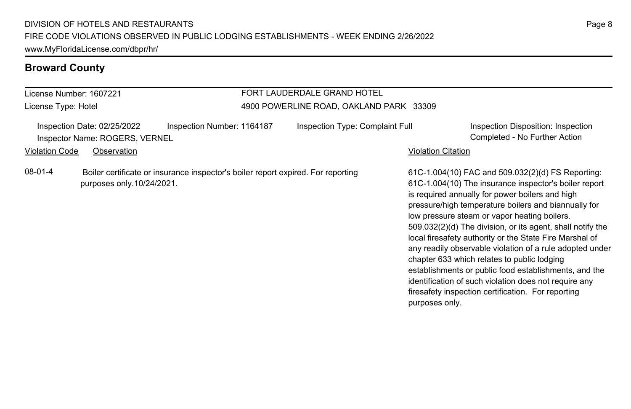#### License Number: 1607221 License Type: Hotel FORT LAUDERDALE GRAND HOTEL 4900 POWERLINE ROAD, OAKLAND PARK 33309 Inspection Date: 02/25/2022 Inspection Number: 1164187 Inspection Type: Complaint Full Inspection Disposition: Inspection Inspector Name: ROGERS, VERNEL Completed - No Further Action Violation Code Observation **Violation Code** Observation **Violation** Violation Citation Citation Citation Citation 61C-1.004(10) FAC and 509.032(2)(d) FS Reporting: 61C-1.004(10) The insurance inspector's boiler report is required annually for power boilers and high pressure/high temperature boilers and biannually for low pressure steam or vapor heating boilers. 509.032(2)(d) The division, or its agent, shall notify the local firesafety authority or the State Fire Marshal of any readily observable violation of a rule adopted under chapter 633 which relates to public lodging establishments or public food establishments, and the identification of such violation does not require any firesafety inspection certification. For reporting 08-01-4 Boiler certificate or insurance inspector's boiler report expired. For reporting purposes only.10/24/2021.

purposes only.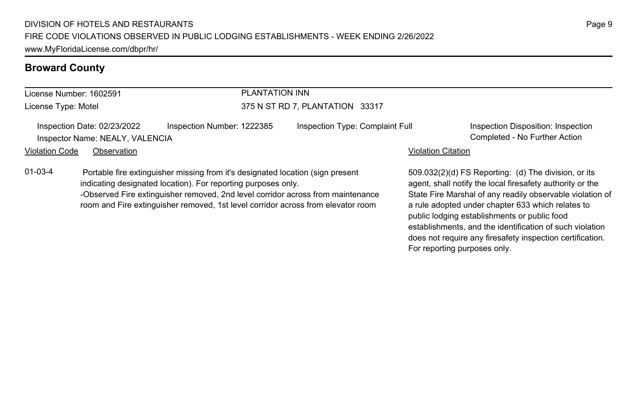| PLANTATION INN<br>License Number: 1602591 |                                                                |                                                                                                                                                                                                                                   |                                 |                           |                                                                                                                                                                             |  |
|-------------------------------------------|----------------------------------------------------------------|-----------------------------------------------------------------------------------------------------------------------------------------------------------------------------------------------------------------------------------|---------------------------------|---------------------------|-----------------------------------------------------------------------------------------------------------------------------------------------------------------------------|--|
| License Type: Motel                       |                                                                |                                                                                                                                                                                                                                   | 375 N ST RD 7. PLANTATION 33317 |                           |                                                                                                                                                                             |  |
|                                           | Inspection Date: 02/23/2022<br>Inspector Name: NEALY, VALENCIA | Inspection Number: 1222385                                                                                                                                                                                                        | Inspection Type: Complaint Full |                           | Inspection Disposition: Inspection<br>Completed - No Further Action                                                                                                         |  |
| <b>Violation Code</b>                     | Observation                                                    |                                                                                                                                                                                                                                   |                                 | <b>Violation Citation</b> |                                                                                                                                                                             |  |
| $01 - 03 - 4$                             |                                                                | Portable fire extinguisher missing from it's designated location (sign present<br>indicating designated location). For reporting purposes only.<br>-Observed Fire extinguisher removed 2nd level corridor across from maintenance |                                 |                           | 509.032(2)(d) FS Reporting: (d) The division, or its<br>agent, shall notify the local firesafety authority or the<br>State Fire Marshal of any readily observable violation |  |

erved Fire extinguisher removed, 2nd level corridor across from maintenance room and Fire extinguisher removed, 1st level corridor across from elevator room

State Fire Marshal of any readily observable violation of a rule adopted under chapter 633 which relates to public lodging establishments or public food establishments, and the identification of such violation does not require any firesafety inspection certification. For reporting purposes only.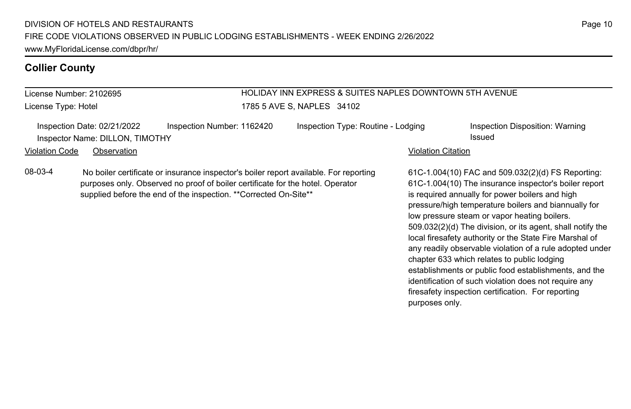# **Collier County**

| License Number: 2102695<br>License Type: Hotel                                                                                                                                                                                                          | <b>HOLIDAY INN EXPRESS &amp; SUITES NAPLES DOWNTOWN 5TH AVENUE</b><br>1785 5 AVE S, NAPLES 34102 |                                                                                                                                                                                                                                                                                                                                                                                                                                                                                                           |  |  |
|---------------------------------------------------------------------------------------------------------------------------------------------------------------------------------------------------------------------------------------------------------|--------------------------------------------------------------------------------------------------|-----------------------------------------------------------------------------------------------------------------------------------------------------------------------------------------------------------------------------------------------------------------------------------------------------------------------------------------------------------------------------------------------------------------------------------------------------------------------------------------------------------|--|--|
| Inspection Number: 1162420<br>Inspection Date: 02/21/2022<br>Inspector Name: DILLON, TIMOTHY                                                                                                                                                            | Inspection Type: Routine - Lodging                                                               | Inspection Disposition: Warning<br>Issued                                                                                                                                                                                                                                                                                                                                                                                                                                                                 |  |  |
| <b>Violation Code</b><br>Observation                                                                                                                                                                                                                    |                                                                                                  | <b>Violation Citation</b>                                                                                                                                                                                                                                                                                                                                                                                                                                                                                 |  |  |
| 08-03-4<br>No boiler certificate or insurance inspector's boiler report available. For reporting<br>purposes only. Observed no proof of boiler certificate for the hotel. Operator<br>supplied before the end of the inspection. ** Corrected On-Site** |                                                                                                  | 61C-1.004(10) FAC and 509.032(2)(d) FS Reporting:<br>61C-1.004(10) The insurance inspector's boiler report<br>is required annually for power boilers and high<br>pressure/high temperature boilers and biannually for<br>low pressure steam or vapor heating boilers.<br>509.032(2)(d) The division, or its agent, shall notify the<br>local firesafety authority or the State Fire Marshal of<br>any readily observable violation of a rule adopted under<br>chapter 633 which relates to public lodging |  |  |

establishments or public food establishments, and the identification of such violation does not require any firesafety inspection certification. For reporting

purposes only.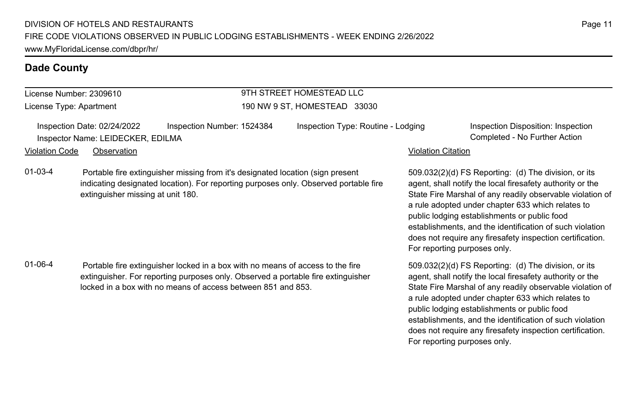## License Number: 2309610

License Type: Apartment

## 9TH STREET HOMESTEAD LLC 190 NW 9 ST, HOMESTEAD 33030

|                       | Inspection Date: 02/24/2022       | Inspection Number: 1524384 | Inspection Type: Routine - Lodging |                    | Inspection Disposition: Inspection |
|-----------------------|-----------------------------------|----------------------------|------------------------------------|--------------------|------------------------------------|
|                       | Inspector Name: LEIDECKER, EDILMA |                            |                                    |                    | Completed - No Further Action      |
| <b>Violation Code</b> | Observation                       |                            |                                    | Violation Citation |                                    |

01-03-4 Portable fire extinguisher missing from it's designated location (sign present indicating designated location). For reporting purposes only. Observed portable fire extinguisher missing at unit 180.

01-06-4 Portable fire extinguisher locked in a box with no means of access to the fire extinguisher. For reporting purposes only. Observed a portable fire extinguisher locked in a box with no means of access between 851 and 853.

509.032(2)(d) FS Reporting: (d) The division, or its agent, shall notify the local firesafety authority or the State Fire Marshal of any readily observable violation of a rule adopted under chapter 633 which relates to public lodging establishments or public food establishments, and the identification of such violation does not require any firesafety inspection certification. For reporting purposes only.

509.032(2)(d) FS Reporting: (d) The division, or its agent, shall notify the local firesafety authority or the State Fire Marshal of any readily observable violation of a rule adopted under chapter 633 which relates to public lodging establishments or public food establishments, and the identification of such violation does not require any firesafety inspection certification. For reporting purposes only.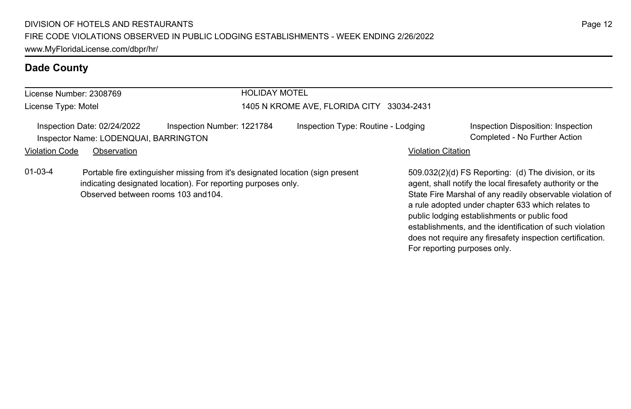| License Number: 2308769                                                                                                                                                                                 |                                                                      |                            | <b>HOLIDAY MOTEL</b>                      |                           |                                                                                                                                                                                                                                                                                     |  |
|---------------------------------------------------------------------------------------------------------------------------------------------------------------------------------------------------------|----------------------------------------------------------------------|----------------------------|-------------------------------------------|---------------------------|-------------------------------------------------------------------------------------------------------------------------------------------------------------------------------------------------------------------------------------------------------------------------------------|--|
| License Type: Motel                                                                                                                                                                                     |                                                                      |                            | 1405 N KROME AVE, FLORIDA CITY 33034-2431 |                           |                                                                                                                                                                                                                                                                                     |  |
|                                                                                                                                                                                                         | Inspection Date: 02/24/2022<br>Inspector Name: LODENQUAI, BARRINGTON | Inspection Number: 1221784 | Inspection Type: Routine - Lodging        |                           | Inspection Disposition: Inspection<br>Completed - No Further Action                                                                                                                                                                                                                 |  |
| <b>Violation Code</b>                                                                                                                                                                                   | Observation                                                          |                            |                                           | <b>Violation Citation</b> |                                                                                                                                                                                                                                                                                     |  |
| $01 - 03 - 4$<br>Portable fire extinguisher missing from it's designated location (sign present<br>indicating designated location). For reporting purposes only.<br>Observed between rooms 103 and 104. |                                                                      |                            |                                           |                           | 509.032(2)(d) FS Reporting: (d) The division, or its<br>agent, shall notify the local firesafety authority or the<br>State Fire Marshal of any readily observable violation of<br>a rule adopted under chapter 633 which relates to<br>public lodging establishments or public food |  |

establishments, and the identification of such violation does not require any firesafety inspection certification.

For reporting purposes only.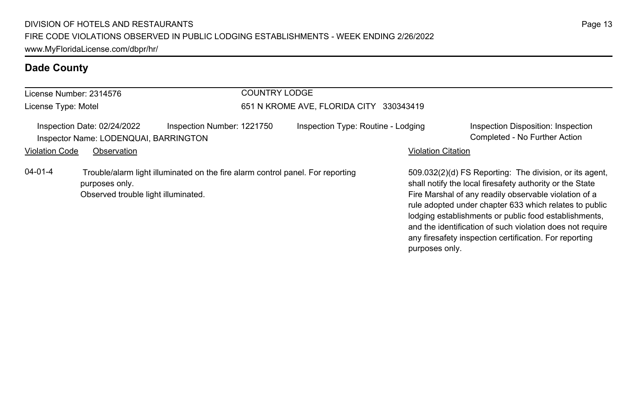| <b>COUNTRY LODGE</b><br>License Number: 2314576 |                                                                      |                                                                                |                                         |                           |                                                                                                                                                                                                                                                                                                 |  |
|-------------------------------------------------|----------------------------------------------------------------------|--------------------------------------------------------------------------------|-----------------------------------------|---------------------------|-------------------------------------------------------------------------------------------------------------------------------------------------------------------------------------------------------------------------------------------------------------------------------------------------|--|
| License Type: Motel                             |                                                                      |                                                                                | 651 N KROME AVE, FLORIDA CITY 330343419 |                           |                                                                                                                                                                                                                                                                                                 |  |
|                                                 | Inspection Date: 02/24/2022<br>Inspector Name: LODENQUAI, BARRINGTON | Inspection Number: 1221750                                                     | Inspection Type: Routine - Lodging      |                           | Inspection Disposition: Inspection<br>Completed - No Further Action                                                                                                                                                                                                                             |  |
| <b>Violation Code</b>                           | Observation                                                          |                                                                                |                                         | <b>Violation Citation</b> |                                                                                                                                                                                                                                                                                                 |  |
| $04 - 01 - 4$                                   | purposes only.<br>Observed trouble light illuminated.                | Trouble/alarm light illuminated on the fire alarm control panel. For reporting |                                         |                           | 509.032(2)(d) FS Reporting: The division, or its agent.<br>shall notify the local firesafety authority or the State<br>Fire Marshal of any readily observable violation of a<br>rule adopted under chapter 633 which relates to public<br>lodging establishments or public food establishments, |  |

Page 13

and the identification of such violation does not require any firesafety inspection certification. For reporting

purposes only.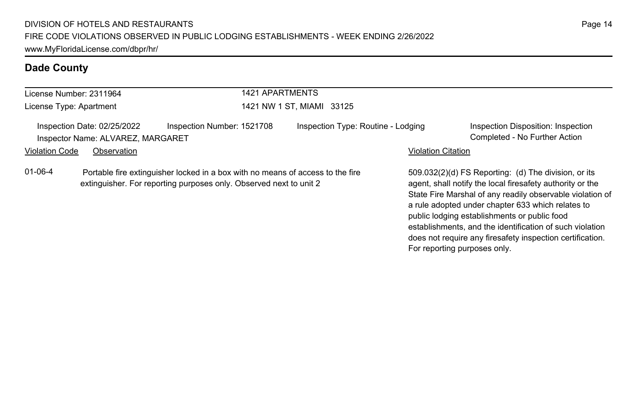|                                                                                                                                                                       | License Number: 2311964                                          |                            | <b>1421 APARTMENTS</b>             |                           |                                                                                                                                                                                                                                                                                     |  |
|-----------------------------------------------------------------------------------------------------------------------------------------------------------------------|------------------------------------------------------------------|----------------------------|------------------------------------|---------------------------|-------------------------------------------------------------------------------------------------------------------------------------------------------------------------------------------------------------------------------------------------------------------------------------|--|
| License Type: Apartment                                                                                                                                               |                                                                  |                            | 1421 NW 1 ST, MIAMI 33125          |                           |                                                                                                                                                                                                                                                                                     |  |
|                                                                                                                                                                       | Inspection Date: 02/25/2022<br>Inspector Name: ALVAREZ, MARGARET | Inspection Number: 1521708 | Inspection Type: Routine - Lodging |                           | Inspection Disposition: Inspection<br>Completed - No Further Action                                                                                                                                                                                                                 |  |
| <b>Violation Code</b>                                                                                                                                                 | Observation                                                      |                            |                                    | <b>Violation Citation</b> |                                                                                                                                                                                                                                                                                     |  |
| $01 - 06 - 4$<br>Portable fire extinguisher locked in a box with no means of access to the fire<br>extinguisher. For reporting purposes only. Observed next to unit 2 |                                                                  |                            |                                    |                           | 509.032(2)(d) FS Reporting: (d) The division, or its<br>agent, shall notify the local firesafety authority or the<br>State Fire Marshal of any readily observable violation of<br>a rule adopted under chapter 633 which relates to<br>public lodging establishments or public food |  |

establishments, and the identification of such violation does not require any firesafety inspection certification.

For reporting purposes only.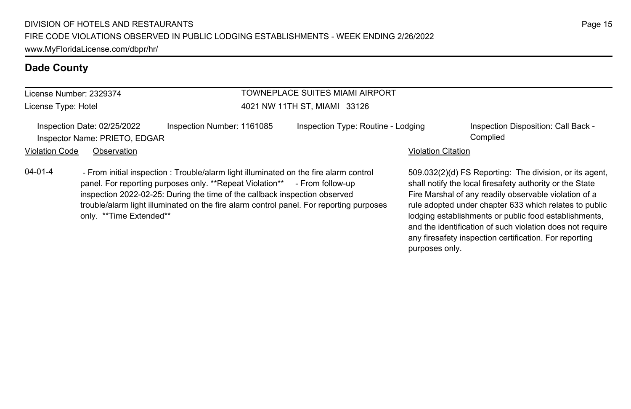| License Number: 2329374                                                                                                                                                                                                                                                                                                                                      | TOWNEPLACE SUITES MIAMI AIRPORT |                                    |                           |                                                                                                                                                                                                                                        |  |
|--------------------------------------------------------------------------------------------------------------------------------------------------------------------------------------------------------------------------------------------------------------------------------------------------------------------------------------------------------------|---------------------------------|------------------------------------|---------------------------|----------------------------------------------------------------------------------------------------------------------------------------------------------------------------------------------------------------------------------------|--|
| License Type: Hotel                                                                                                                                                                                                                                                                                                                                          |                                 | 4021 NW 11TH ST, MIAMI 33126       |                           |                                                                                                                                                                                                                                        |  |
| Inspection Number: 1161085<br>Inspection Date: 02/25/2022<br>Inspector Name: PRIETO, EDGAR                                                                                                                                                                                                                                                                   |                                 | Inspection Type: Routine - Lodging |                           | Inspection Disposition: Call Back -<br>Complied                                                                                                                                                                                        |  |
| <b>Violation Code</b><br>Observation                                                                                                                                                                                                                                                                                                                         |                                 |                                    | <b>Violation Citation</b> |                                                                                                                                                                                                                                        |  |
| $04 - 01 - 4$<br>- From initial inspection : Trouble/alarm light illuminated on the fire alarm control<br>panel. For reporting purposes only. **Repeat Violation** - From follow-up<br>inspection 2022-02-25: During the time of the callback inspection observed<br>trouble/alarm light illuminated on the fire alarm control panel. For reporting purposes |                                 |                                    |                           | 509.032(2)(d) FS Reporting: The division, or its agent.<br>shall notify the local firesafety authority or the State<br>Fire Marshal of any readily observable violation of a<br>rule adopted under chapter 633 which relates to public |  |

only. \*\*Time Extended\*\*

rule adopted under chapter 633 which relates to public lodging establishments or public food establishments, and the identification of such violation does not require any firesafety inspection certification. For reporting purposes only.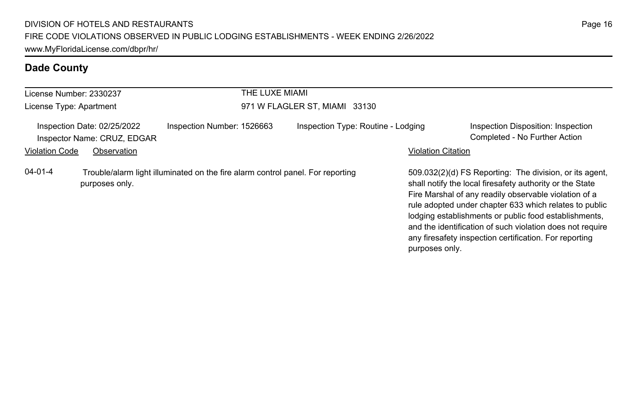| License Number: 2330237                                    |                |                                                                                | THE LUXE MIAMI                     |                                                                                                                                                                                                                                                                                                                                                                                                                                          |  |  |
|------------------------------------------------------------|----------------|--------------------------------------------------------------------------------|------------------------------------|------------------------------------------------------------------------------------------------------------------------------------------------------------------------------------------------------------------------------------------------------------------------------------------------------------------------------------------------------------------------------------------------------------------------------------------|--|--|
| License Type: Apartment                                    |                |                                                                                | 971 W FLAGLER ST, MIAMI 33130      |                                                                                                                                                                                                                                                                                                                                                                                                                                          |  |  |
| Inspection Date: 02/25/2022<br>Inspector Name: CRUZ, EDGAR |                | Inspection Number: 1526663                                                     | Inspection Type: Routine - Lodging | Inspection Disposition: Inspection<br>Completed - No Further Action                                                                                                                                                                                                                                                                                                                                                                      |  |  |
| <b>Violation Code</b>                                      | Observation    |                                                                                |                                    | <b>Violation Citation</b>                                                                                                                                                                                                                                                                                                                                                                                                                |  |  |
| $04 - 01 - 4$                                              | purposes only. | Trouble/alarm light illuminated on the fire alarm control panel. For reporting |                                    | 509.032(2)(d) FS Reporting: The division, or its agent,<br>shall notify the local firesafety authority or the State<br>Fire Marshal of any readily observable violation of a<br>rule adopted under chapter 633 which relates to public<br>lodging establishments or public food establishments,<br>and the identification of such violation does not require<br>any firesafety inspection certification. For reporting<br>purposes only. |  |  |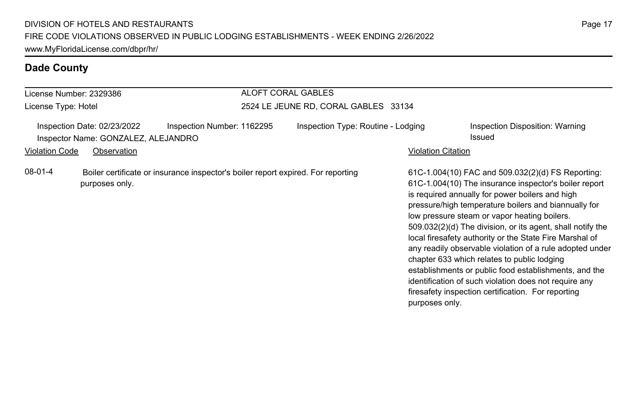| License Number: 2329386 |                                                                                   |                                                                                  | ALOFT CORAL GABLES                   |                    |                                                                                                                                                                                                                                                                                                                                                                                                                                                                                                                                                                                                                                                                                   |  |
|-------------------------|-----------------------------------------------------------------------------------|----------------------------------------------------------------------------------|--------------------------------------|--------------------|-----------------------------------------------------------------------------------------------------------------------------------------------------------------------------------------------------------------------------------------------------------------------------------------------------------------------------------------------------------------------------------------------------------------------------------------------------------------------------------------------------------------------------------------------------------------------------------------------------------------------------------------------------------------------------------|--|
| License Type: Hotel     |                                                                                   |                                                                                  | 2524 LE JEUNE RD, CORAL GABLES 33134 |                    |                                                                                                                                                                                                                                                                                                                                                                                                                                                                                                                                                                                                                                                                                   |  |
| <b>Violation Code</b>   | Inspection Date: 02/23/2022<br>Inspector Name: GONZALEZ, ALEJANDRO<br>Observation | Inspection Number: 1162295                                                       | Inspection Type: Routine - Lodging   | Violation Citation | Inspection Disposition: Warning<br>Issued                                                                                                                                                                                                                                                                                                                                                                                                                                                                                                                                                                                                                                         |  |
| 08-01-4                 | purposes only.                                                                    | Boiler certificate or insurance inspector's boiler report expired. For reporting |                                      | purposes only.     | 61C-1.004(10) FAC and 509.032(2)(d) FS Reporting:<br>61C-1.004(10) The insurance inspector's boiler report<br>is required annually for power boilers and high<br>pressure/high temperature boilers and biannually for<br>low pressure steam or vapor heating boilers.<br>509.032(2)(d) The division, or its agent, shall notify the<br>local firesafety authority or the State Fire Marshal of<br>any readily observable violation of a rule adopted under<br>chapter 633 which relates to public lodging<br>establishments or public food establishments, and the<br>identification of such violation does not require any<br>firesafety inspection certification. For reporting |  |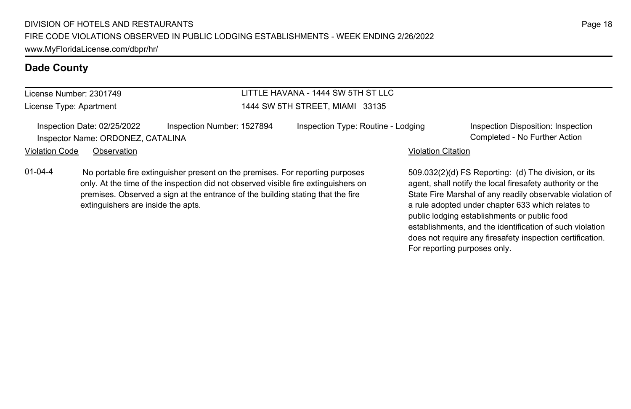# License Number: 2301749

License Type: Apartment

### LITTLE HAVANA - 1444 SW 5TH ST LLC 1444 SW 5TH STREET, MIAMI 33135

Inspection Date: 02/25/2022 Inspection Number: 1527894 Inspection Type: Routine - Lodging Inspection Disposition: Inspection Inspector Name: ORDONEZ, CATALINA Completed - No Further Action

#### Violation Code Observation **Violation Code** Observation **Violation** Violation Citation Citation Citation Citation

01-04-4 No portable fire extinguisher present on the premises. For reporting purposes only. At the time of the inspection did not observed visible fire extinguishers on premises. Observed a sign at the entrance of the building stating that the fire extinguishers are inside the apts.

509.032(2)(d) FS Reporting: (d) The division, or its agent, shall notify the local firesafety authority or the State Fire Marshal of any readily observable violation of a rule adopted under chapter 633 which relates to public lodging establishments or public food establishments, and the identification of such violation does not require any firesafety inspection certification. For reporting purposes only.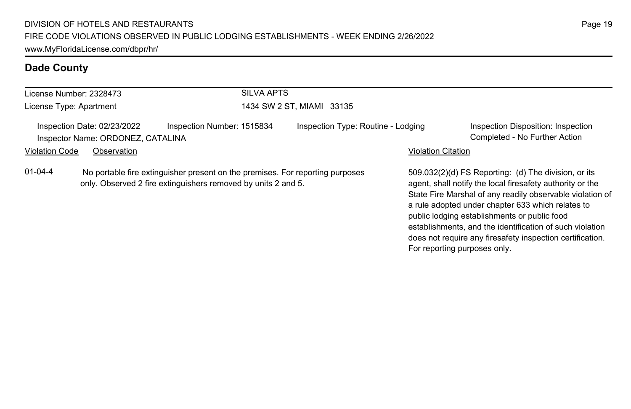|                                                                                                                                                                 | License Number: 2328473                                          | <b>SILVA APTS</b>          |                                    |                                                                                                                                                                                                                                                                                                                                                                                                              |                                                                     |  |
|-----------------------------------------------------------------------------------------------------------------------------------------------------------------|------------------------------------------------------------------|----------------------------|------------------------------------|--------------------------------------------------------------------------------------------------------------------------------------------------------------------------------------------------------------------------------------------------------------------------------------------------------------------------------------------------------------------------------------------------------------|---------------------------------------------------------------------|--|
| License Type: Apartment                                                                                                                                         |                                                                  |                            | 1434 SW 2 ST, MIAMI 33135          |                                                                                                                                                                                                                                                                                                                                                                                                              |                                                                     |  |
|                                                                                                                                                                 | Inspection Date: 02/23/2022<br>Inspector Name: ORDONEZ, CATALINA | Inspection Number: 1515834 | Inspection Type: Routine - Lodging |                                                                                                                                                                                                                                                                                                                                                                                                              | Inspection Disposition: Inspection<br>Completed - No Further Action |  |
| <b>Violation Code</b>                                                                                                                                           | Observation                                                      |                            |                                    | <b>Violation Citation</b>                                                                                                                                                                                                                                                                                                                                                                                    |                                                                     |  |
| $01 - 04 - 4$<br>No portable fire extinguisher present on the premises. For reporting purposes<br>only. Observed 2 fire extinguishers removed by units 2 and 5. |                                                                  |                            |                                    | 509.032(2)(d) FS Reporting: (d) The division, or its<br>agent, shall notify the local firesafety authority or the<br>State Fire Marshal of any readily observable violation of<br>a rule adopted under chapter 633 which relates to<br>public lodging establishments or public food<br>establishments, and the identification of such violation<br>does not require any firesafety inspection certification. |                                                                     |  |

For reporting purposes only.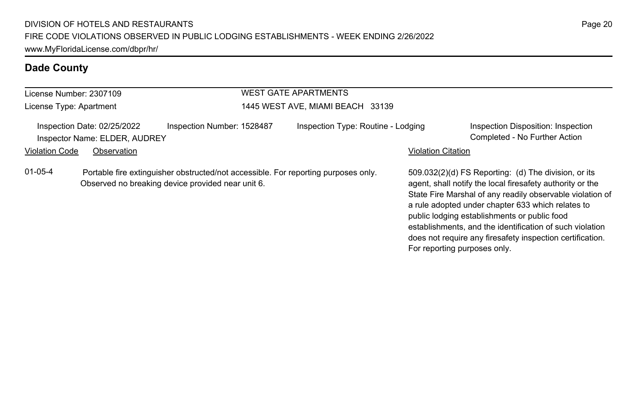| License Number: 2307109 |                                                              |                                                                                                                                         | <b>WEST GATE APARTMENTS</b>        |                           |                                                                                                                                                                                                                                                                                                                                                                                                              |
|-------------------------|--------------------------------------------------------------|-----------------------------------------------------------------------------------------------------------------------------------------|------------------------------------|---------------------------|--------------------------------------------------------------------------------------------------------------------------------------------------------------------------------------------------------------------------------------------------------------------------------------------------------------------------------------------------------------------------------------------------------------|
| License Type: Apartment |                                                              |                                                                                                                                         | 1445 WEST AVE, MIAMI BEACH 33139   |                           |                                                                                                                                                                                                                                                                                                                                                                                                              |
|                         | Inspection Date: 02/25/2022<br>Inspector Name: ELDER, AUDREY | Inspection Number: 1528487                                                                                                              | Inspection Type: Routine - Lodging |                           | Inspection Disposition: Inspection<br>Completed - No Further Action                                                                                                                                                                                                                                                                                                                                          |
| <b>Violation Code</b>   | Observation                                                  |                                                                                                                                         |                                    | <b>Violation Citation</b> |                                                                                                                                                                                                                                                                                                                                                                                                              |
| $01 - 05 - 4$           |                                                              | Portable fire extinguisher obstructed/not accessible. For reporting purposes only.<br>Observed no breaking device provided near unit 6. |                                    |                           | 509.032(2)(d) FS Reporting: (d) The division, or its<br>agent, shall notify the local firesafety authority or the<br>State Fire Marshal of any readily observable violation of<br>a rule adopted under chapter 633 which relates to<br>public lodging establishments or public food<br>establishments, and the identification of such violation<br>does not require any firesafety inspection certification. |

For reporting purposes only.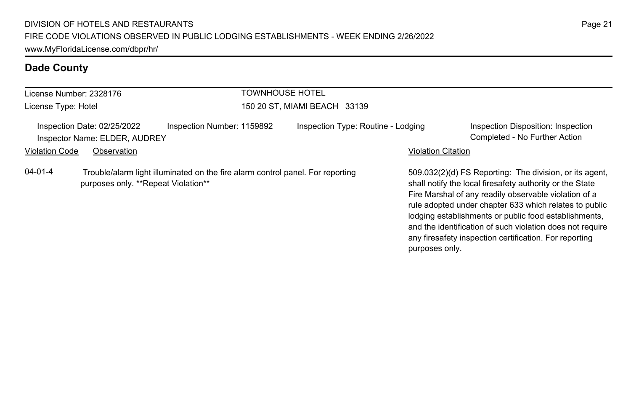| License Number: 2328176 |                                                              |                                                                                | <b>TOWNHOUSE HOTEL</b> |                                    |                           |                                                                                                                                                                                                                                                                                                                                                                                                                        |  |
|-------------------------|--------------------------------------------------------------|--------------------------------------------------------------------------------|------------------------|------------------------------------|---------------------------|------------------------------------------------------------------------------------------------------------------------------------------------------------------------------------------------------------------------------------------------------------------------------------------------------------------------------------------------------------------------------------------------------------------------|--|
| License Type: Hotel     |                                                              |                                                                                |                        | 150 20 ST, MIAMI BEACH 33139       |                           |                                                                                                                                                                                                                                                                                                                                                                                                                        |  |
|                         | Inspection Date: 02/25/2022<br>Inspector Name: ELDER, AUDREY | Inspection Number: 1159892                                                     |                        | Inspection Type: Routine - Lodging |                           | Inspection Disposition: Inspection<br>Completed - No Further Action                                                                                                                                                                                                                                                                                                                                                    |  |
| <b>Violation Code</b>   | Observation                                                  |                                                                                |                        |                                    | <b>Violation Citation</b> |                                                                                                                                                                                                                                                                                                                                                                                                                        |  |
| $04 - 01 - 4$           | purposes only. **Repeat Violation**                          | Trouble/alarm light illuminated on the fire alarm control panel. For reporting |                        |                                    |                           | 509.032(2)(d) FS Reporting: The division, or its agent,<br>shall notify the local firesafety authority or the State<br>Fire Marshal of any readily observable violation of a<br>rule adopted under chapter 633 which relates to public<br>lodging establishments or public food establishments,<br>and the identification of such violation does not require<br>any firesafety inspection certification. For reporting |  |

purposes only.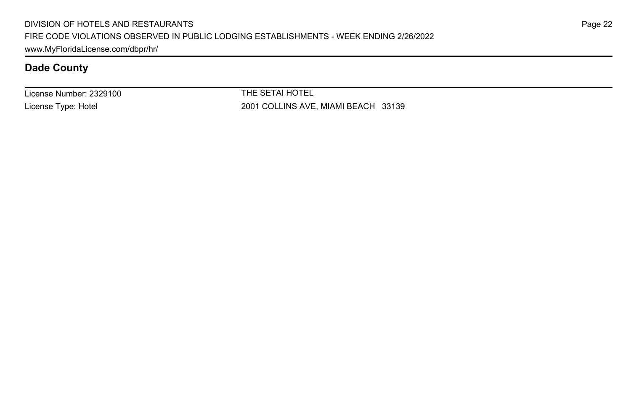License Number: 2329100 License Type: Hotel

THE SETAI HOTEL 2001 COLLINS AVE, MIAMI BEACH 33139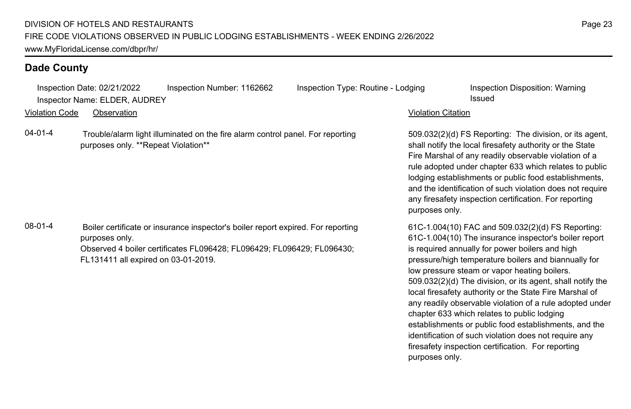Inspection Date: 02/21/2022 Inspection Number: 1162662 Inspection Type: Routine - Lodging Inspection Disposition: Warning Inspector Name: ELDER, AUDREY **Issued** 

Violation Code Observation Violation Citation

04-01-4 Trouble/alarm light illuminated on the fire alarm control panel. For reporting purposes only. \*\*Repeat Violation\*\*

08-01-4 Boiler certificate or insurance inspector's boiler report expired. For reporting purposes only. Observed 4 boiler certificates FL096428; FL096429; FL096429; FL096430; FL131411 all expired on 03-01-2019.

509.032(2)(d) FS Reporting: The division, or its agent, shall notify the local firesafety authority or the State Fire Marshal of any readily observable violation of a rule adopted under chapter 633 which relates to public lodging establishments or public food establishments, and the identification of such violation does not require any firesafety inspection certification. For reporting purposes only.

61C-1.004(10) FAC and 509.032(2)(d) FS Reporting: 61C-1.004(10) The insurance inspector's boiler report is required annually for power boilers and high pressure/high temperature boilers and biannually for low pressure steam or vapor heating boilers. 509.032(2)(d) The division, or its agent, shall notify the local firesafety authority or the State Fire Marshal of any readily observable violation of a rule adopted under chapter 633 which relates to public lodging establishments or public food establishments, and the identification of such violation does not require any firesafety inspection certification. For reporting purposes only.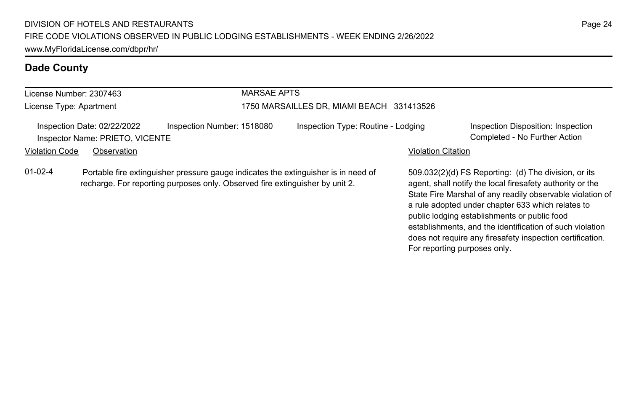| License Number: 2307463 |                                                                | <b>MARSAE APTS</b>                                                                                                                                                 |                                           |                           |                                                                                                                                                                                                                                                                                     |  |  |
|-------------------------|----------------------------------------------------------------|--------------------------------------------------------------------------------------------------------------------------------------------------------------------|-------------------------------------------|---------------------------|-------------------------------------------------------------------------------------------------------------------------------------------------------------------------------------------------------------------------------------------------------------------------------------|--|--|
| License Type: Apartment |                                                                |                                                                                                                                                                    | 1750 MARSAILLES DR, MIAMI BEACH 331413526 |                           |                                                                                                                                                                                                                                                                                     |  |  |
|                         | Inspection Date: 02/22/2022<br>Inspector Name: PRIETO, VICENTE | Inspection Number: 1518080                                                                                                                                         | Inspection Type: Routine - Lodging        |                           | Inspection Disposition: Inspection<br>Completed - No Further Action                                                                                                                                                                                                                 |  |  |
| <b>Violation Code</b>   | Observation                                                    |                                                                                                                                                                    |                                           | <b>Violation Citation</b> |                                                                                                                                                                                                                                                                                     |  |  |
| $01-02-4$               |                                                                | Portable fire extinguisher pressure gauge indicates the extinguisher is in need of<br>recharge. For reporting purposes only. Observed fire extinguisher by unit 2. |                                           |                           | 509.032(2)(d) FS Reporting: (d) The division, or its<br>agent, shall notify the local firesafety authority or the<br>State Fire Marshal of any readily observable violation of<br>a rule adopted under chapter 633 which relates to<br>public lodging establishments or public food |  |  |

establishments, and the identification of such violation does not require any firesafety inspection certification.

For reporting purposes only.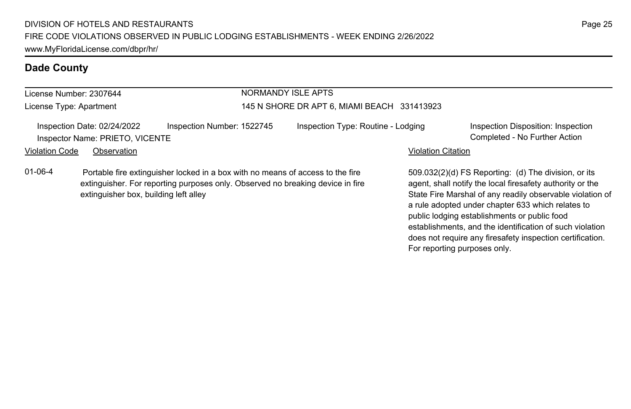#### License Number: 2307644 License Type: Apartment NORMANDY ISLE APTS 145 N SHORE DR APT 6, MIAMI BEACH 331413923 Inspection Date: 02/24/2022 Inspection Number: 1522745 Inspection Type: Routine - Lodging Inspection Disposition: Inspection Inspector Name: PRIETO, VICENTE Completed - No Further Action Violation Code Observation **Violation Code** Observation **Violation** Violation Citation Citation **Violation** 509.032(2)(d) FS Reporting: (d) The division, or its 01-06-4 Portable fire extinguisher locked in a box with no means of access to the fire extinguisher. For reporting purposes only. Observed no breaking device in fire extinguisher box, building left alley

agent, shall notify the local firesafety authority or the State Fire Marshal of any readily observable violation of a rule adopted under chapter 633 which relates to public lodging establishments or public food establishments, and the identification of such violation does not require any firesafety inspection certification. For reporting purposes only.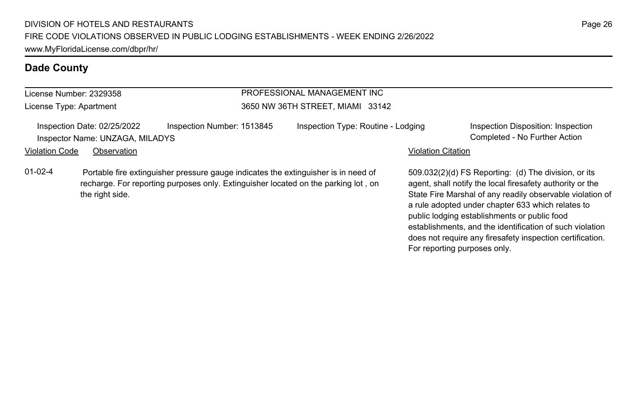## License Number: 2329358

License Type: Apartment

#### PROFESSIONAL MANAGEMENT INC 3650 NW 36TH STREET, MIAMI 33142

Inspection Date: 02/25/2022 Inspection Number: 1513845 Inspection Type: Routine - Lodging Inspection Disposition: Inspection Inspector Name: UNZAGA, MILADYS Completed - No Further Action

#### Violation Code Observation **Violation Code** Observation **Violation** Violation Citation Citation **Violation**

01-02-4 Portable fire extinguisher pressure gauge indicates the extinguisher is in need of recharge. For reporting purposes only. Extinguisher located on the parking lot , on the right side.

509.032(2)(d) FS Reporting: (d) The division, or its agent, shall notify the local firesafety authority or the State Fire Marshal of any readily observable violation of a rule adopted under chapter 633 which relates to public lodging establishments or public food establishments, and the identification of such violation does not require any firesafety inspection certification. For reporting purposes only.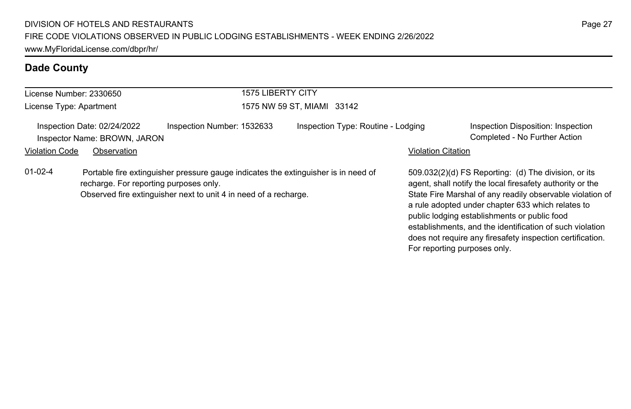|                         | License Number: 2330650                                     | <b>1575 LIBERTY CITY</b>                                                                                                                               |                                    |                           |                                                                                                                                                                                                                                                                                                                                                                                                                                              |
|-------------------------|-------------------------------------------------------------|--------------------------------------------------------------------------------------------------------------------------------------------------------|------------------------------------|---------------------------|----------------------------------------------------------------------------------------------------------------------------------------------------------------------------------------------------------------------------------------------------------------------------------------------------------------------------------------------------------------------------------------------------------------------------------------------|
| License Type: Apartment |                                                             |                                                                                                                                                        | 1575 NW 59 ST. MIAMI 33142         |                           |                                                                                                                                                                                                                                                                                                                                                                                                                                              |
|                         | Inspection Date: 02/24/2022<br>Inspector Name: BROWN, JARON | Inspection Number: 1532633                                                                                                                             | Inspection Type: Routine - Lodging |                           | Inspection Disposition: Inspection<br>Completed - No Further Action                                                                                                                                                                                                                                                                                                                                                                          |
| <b>Violation Code</b>   | Observation                                                 |                                                                                                                                                        |                                    | <b>Violation Citation</b> |                                                                                                                                                                                                                                                                                                                                                                                                                                              |
| $01-02-4$               | recharge. For reporting purposes only.                      | Portable fire extinguisher pressure gauge indicates the extinguisher is in need of<br>Observed fire extinguisher next to unit 4 in need of a recharge. |                                    |                           | 509.032(2)(d) FS Reporting: (d) The division, or its<br>agent, shall notify the local firesafety authority or the<br>State Fire Marshal of any readily observable violation of<br>a rule adopted under chapter 633 which relates to<br>public lodging establishments or public food<br>establishments, and the identification of such violation<br>does not require any firesafety inspection certification.<br>For reporting purposes only. |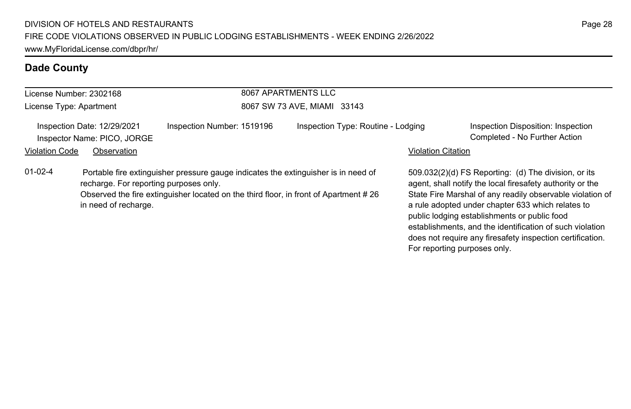| 8067 APARTMENTS LLC<br>License Number: 2302168 |                                                                |                                                                                                                                                                            |                                    |                           |                                                                                                                                                                                                                                                                                                                                                                                                                                              |  |  |
|------------------------------------------------|----------------------------------------------------------------|----------------------------------------------------------------------------------------------------------------------------------------------------------------------------|------------------------------------|---------------------------|----------------------------------------------------------------------------------------------------------------------------------------------------------------------------------------------------------------------------------------------------------------------------------------------------------------------------------------------------------------------------------------------------------------------------------------------|--|--|
| License Type: Apartment                        |                                                                |                                                                                                                                                                            | 8067 SW 73 AVE, MIAMI 33143        |                           |                                                                                                                                                                                                                                                                                                                                                                                                                                              |  |  |
|                                                | Inspection Date: 12/29/2021<br>Inspector Name: PICO, JORGE     | Inspection Number: 1519196                                                                                                                                                 | Inspection Type: Routine - Lodging |                           | Inspection Disposition: Inspection<br>Completed - No Further Action                                                                                                                                                                                                                                                                                                                                                                          |  |  |
| <b>Violation Code</b>                          | Observation                                                    |                                                                                                                                                                            |                                    | <b>Violation Citation</b> |                                                                                                                                                                                                                                                                                                                                                                                                                                              |  |  |
| $01 - 02 - 4$                                  | recharge. For reporting purposes only.<br>in need of recharge. | Portable fire extinguisher pressure gauge indicates the extinguisher is in need of<br>Observed the fire extinguisher located on the third floor, in front of Apartment #26 |                                    |                           | 509.032(2)(d) FS Reporting: (d) The division, or its<br>agent, shall notify the local firesafety authority or the<br>State Fire Marshal of any readily observable violation of<br>a rule adopted under chapter 633 which relates to<br>public lodging establishments or public food<br>establishments, and the identification of such violation<br>does not require any firesafety inspection certification.<br>For reporting purposes only. |  |  |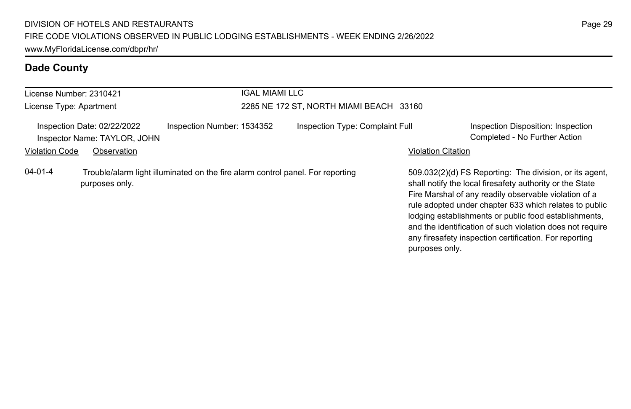| License Number: 2310421 |                                                                                                  |                            | <b>IGAL MIAMI LLC</b> |                                         |                           |                                                                                                                                                                                                                                                                                                                                                                                                                        |
|-------------------------|--------------------------------------------------------------------------------------------------|----------------------------|-----------------------|-----------------------------------------|---------------------------|------------------------------------------------------------------------------------------------------------------------------------------------------------------------------------------------------------------------------------------------------------------------------------------------------------------------------------------------------------------------------------------------------------------------|
| License Type: Apartment |                                                                                                  |                            |                       | 2285 NE 172 ST, NORTH MIAMI BEACH 33160 |                           |                                                                                                                                                                                                                                                                                                                                                                                                                        |
|                         | Inspection Date: 02/22/2022<br>Inspector Name: TAYLOR, JOHN                                      | Inspection Number: 1534352 |                       | Inspection Type: Complaint Full         |                           | Inspection Disposition: Inspection<br>Completed - No Further Action                                                                                                                                                                                                                                                                                                                                                    |
| <b>Violation Code</b>   | Observation                                                                                      |                            |                       |                                         | <b>Violation Citation</b> |                                                                                                                                                                                                                                                                                                                                                                                                                        |
| $04 - 01 - 4$           | Trouble/alarm light illuminated on the fire alarm control panel. For reporting<br>purposes only. |                            |                       |                                         | purposes only.            | 509.032(2)(d) FS Reporting: The division, or its agent,<br>shall notify the local firesafety authority or the State<br>Fire Marshal of any readily observable violation of a<br>rule adopted under chapter 633 which relates to public<br>lodging establishments or public food establishments,<br>and the identification of such violation does not require<br>any firesafety inspection certification. For reporting |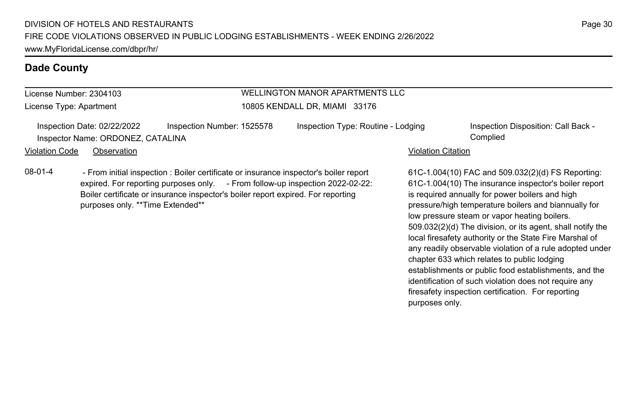# License Number: 2304103

License Type: Apartment

#### WELLINGTON MANOR APARTMENTS LLC 10805 KENDALL DR, MIAMI 33176

Inspection Date: 02/22/2022 Inspection Number: 1525578 Inspection Type: Routine - Lodging Inspection Disposition: Call Back -Inspector Name: ORDONEZ, CATALINA Complied

Violation Code Observation **Violation Code** Observation **Violation** Violation Citation Citation Citation Citation

08-01-4 - From initial inspection : Boiler certificate or insurance inspector's boiler report expired. For reporting purposes only. - From follow-up inspection 2022-02-22: Boiler certificate or insurance inspector's boiler report expired. For reporting purposes only. \*\*Time Extended\*\*

61C-1.004(10) FAC and 509.032(2)(d) FS Reporting: 61C-1.004(10) The insurance inspector's boiler report is required annually for power boilers and high pressure/high temperature boilers and biannually for low pressure steam or vapor heating boilers. 509.032(2)(d) The division, or its agent, shall notify the local firesafety authority or the State Fire Marshal of any readily observable violation of a rule adopted under chapter 633 which relates to public lodging establishments or public food establishments, and the identification of such violation does not require any firesafety inspection certification. For reporting purposes only.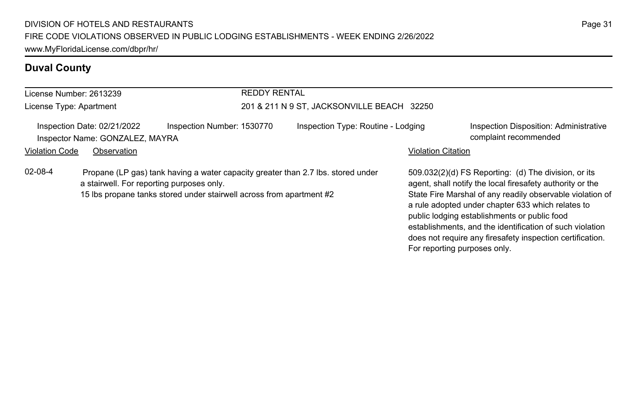# **Duval County**

| License Number: 2613239                                                                                | <b>REDDY RENTAL</b>                                                                                                                                                                                   |                                            |                                                                                                                                                                                                                                                                                                                                                                                                                                              |                                        |
|--------------------------------------------------------------------------------------------------------|-------------------------------------------------------------------------------------------------------------------------------------------------------------------------------------------------------|--------------------------------------------|----------------------------------------------------------------------------------------------------------------------------------------------------------------------------------------------------------------------------------------------------------------------------------------------------------------------------------------------------------------------------------------------------------------------------------------------|----------------------------------------|
| License Type: Apartment                                                                                |                                                                                                                                                                                                       | 201 & 211 N 9 ST, JACKSONVILLE BEACH 32250 |                                                                                                                                                                                                                                                                                                                                                                                                                                              |                                        |
| Inspection Date: 02/21/2022<br>Inspector Name: GONZALEZ, MAYRA<br><b>Violation Code</b><br>Observation | Inspection Number: 1530770                                                                                                                                                                            | Inspection Type: Routine - Lodging         | complaint recommended<br><b>Violation Citation</b>                                                                                                                                                                                                                                                                                                                                                                                           | Inspection Disposition: Administrative |
| $02 - 08 - 4$                                                                                          | Propane (LP gas) tank having a water capacity greater than 2.7 lbs. stored under<br>a stairwell. For reporting purposes only.<br>15 lbs propane tanks stored under stairwell across from apartment #2 |                                            | 509.032(2)(d) FS Reporting: (d) The division, or its<br>agent, shall notify the local firesafety authority or the<br>State Fire Marshal of any readily observable violation of<br>a rule adopted under chapter 633 which relates to<br>public lodging establishments or public food<br>establishments, and the identification of such violation<br>does not require any firesafety inspection certification.<br>For reporting purposes only. |                                        |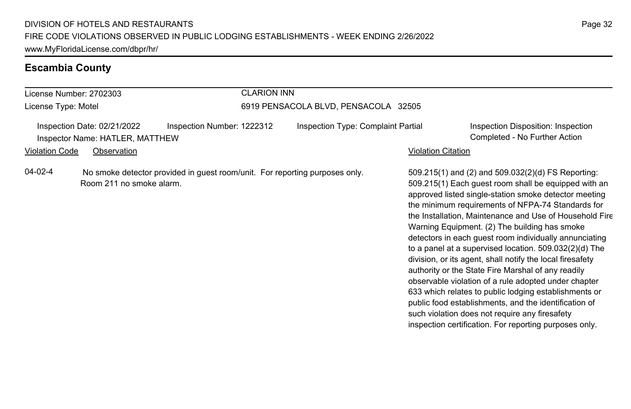#### **Escambia County**

#### License Number: 2702303 License Type: Motel CLARION INN 6919 PENSACOLA BLVD, PENSACOLA 32505 Inspection Date: 02/21/2022 Inspection Number: 1222312 Inspection Type: Complaint Partial Inspection Disposition: Inspection Inspector Name: HATLER, MATTHEW Completed - No Further Action Violation Code Observation Violation Citation 509.215(1) and (2) and 509.032(2)(d) FS Reporting: 509.215(1) Each guest room shall be equipped with an approved listed single-station smoke detector meeting the minimum requirements of NFPA-74 Standards for the Installation, Maintenance and Use of Household Fire Warning Equipment. (2) The building has smoke detectors in each guest room individually annunciating 04-02-4 No smoke detector provided in guest room/unit. For reporting purposes only. Room 211 no smoke alarm.

to a panel at a supervised location. 509.032(2)(d) The division, or its agent, shall notify the local firesafety authority or the State Fire Marshal of any readily observable violation of a rule adopted under chapter 633 which relates to public lodging establishments or public food establishments, and the identification of such violation does not require any firesafety inspection certification. For reporting purposes only.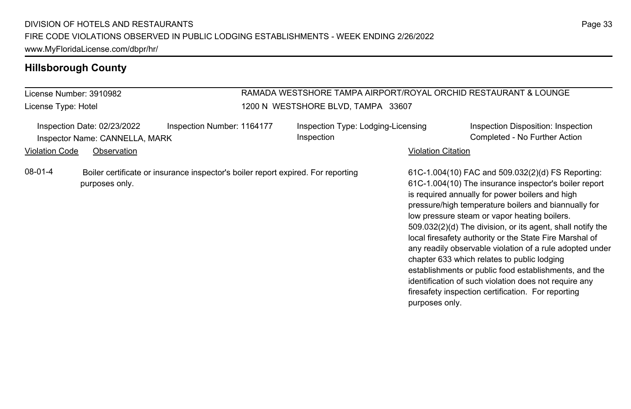| License Number: 3910982<br>License Type: Hotel |                                                               |                                                                                  | RAMADA WESTSHORE TAMPA AIRPORT/ROYAL ORCHID RESTAURANT & LOUNGE<br>1200 N WESTSHORE BLVD, TAMPA 33607 |                           |                                                                                                                                                                                                                                                                                                                                                                                                                                                                                                                                                                                                                                                                                   |  |  |
|------------------------------------------------|---------------------------------------------------------------|----------------------------------------------------------------------------------|-------------------------------------------------------------------------------------------------------|---------------------------|-----------------------------------------------------------------------------------------------------------------------------------------------------------------------------------------------------------------------------------------------------------------------------------------------------------------------------------------------------------------------------------------------------------------------------------------------------------------------------------------------------------------------------------------------------------------------------------------------------------------------------------------------------------------------------------|--|--|
|                                                | Inspection Date: 02/23/2022<br>Inspector Name: CANNELLA, MARK | Inspection Number: 1164177                                                       | Inspection Type: Lodging-Licensing<br>Inspection                                                      |                           | Inspection Disposition: Inspection<br>Completed - No Further Action                                                                                                                                                                                                                                                                                                                                                                                                                                                                                                                                                                                                               |  |  |
| <b>Violation Code</b>                          | Observation                                                   |                                                                                  |                                                                                                       | <b>Violation Citation</b> |                                                                                                                                                                                                                                                                                                                                                                                                                                                                                                                                                                                                                                                                                   |  |  |
| 08-01-4                                        | purposes only.                                                | Boiler certificate or insurance inspector's boiler report expired. For reporting |                                                                                                       | purposes only.            | 61C-1.004(10) FAC and 509.032(2)(d) FS Reporting:<br>61C-1.004(10) The insurance inspector's boiler report<br>is required annually for power boilers and high<br>pressure/high temperature boilers and biannually for<br>low pressure steam or vapor heating boilers.<br>509.032(2)(d) The division, or its agent, shall notify the<br>local firesafety authority or the State Fire Marshal of<br>any readily observable violation of a rule adopted under<br>chapter 633 which relates to public lodging<br>establishments or public food establishments, and the<br>identification of such violation does not require any<br>firesafety inspection certification. For reporting |  |  |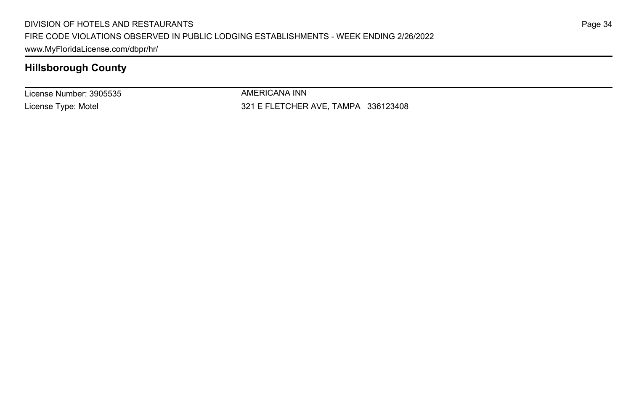License Number: 3905535 License Type: Motel

AMERICANA INN 321 E FLETCHER AVE, TAMPA 336123408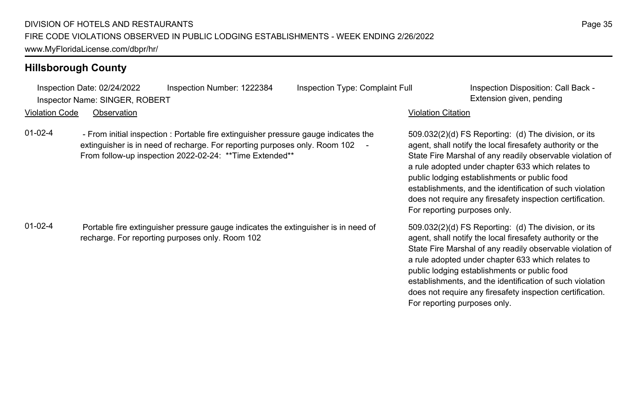Inspection Date: 02/24/2022 Inspection Number: 1222384 Inspection Type: Complaint Full Inspection Disposition: Call Back - Inspector Name: SINGER, ROBERT **Extension given, pending** Violation Code Observation Violation Citation 509.032(2)(d) FS Reporting: (d) The division, or its agent, shall notify the local firesafety authority or the State Fire Marshal of any readily observable violation of a rule adopted under chapter 633 which relates to public lodging establishments or public food establishments, and the identification of such violation does not require any firesafety inspection certification. For reporting purposes only. 01-02-4 - From initial inspection : Portable fire extinguisher pressure gauge indicates the extinguisher is in need of recharge. For reporting purposes only. Room 102 -From follow-up inspection 2022-02-24: \*\*Time Extended\*\* 509.032(2)(d) FS Reporting: (d) The division, or its agent, shall notify the local firesafety authority or the State Fire Marshal of any readily observable violation of a rule adopted under chapter 633 which relates to public lodging establishments or public food establishments, and the identification of such violation does not require any firesafety inspection certification. For reporting purposes only. 01-02-4 Portable fire extinguisher pressure gauge indicates the extinguisher is in need of recharge. For reporting purposes only. Room 102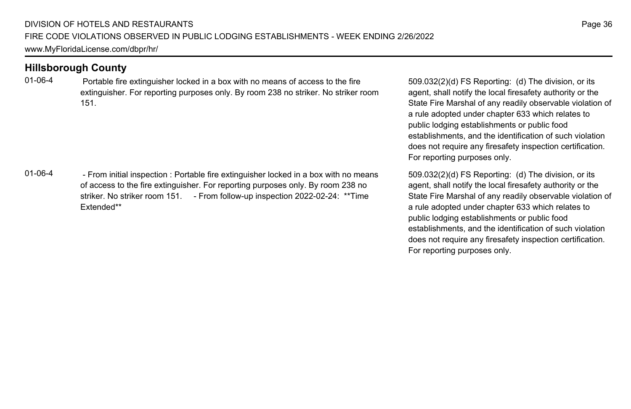01-06-4 Portable fire extinguisher locked in a box with no means of access to the fire extinguisher. For reporting purposes only. By room 238 no striker. No striker room 151.

01-06-4 - From initial inspection : Portable fire extinguisher locked in a box with no means of access to the fire extinguisher. For reporting purposes only. By room 238 no striker. No striker room 151. - From follow-up inspection 2022-02-24: \*\*Time Extended\*\*

509.032(2)(d) FS Reporting: (d) The division, or its agent, shall notify the local firesafety authority or the State Fire Marshal of any readily observable violation of a rule adopted under chapter 633 which relates to public lodging establishments or public food establishments, and the identification of such violation does not require any firesafety inspection certification. For reporting purposes only.

509.032(2)(d) FS Reporting: (d) The division, or its agent, shall notify the local firesafety authority or the State Fire Marshal of any readily observable violation of a rule adopted under chapter 633 which relates to public lodging establishments or public food establishments, and the identification of such violation does not require any firesafety inspection certification. For reporting purposes only.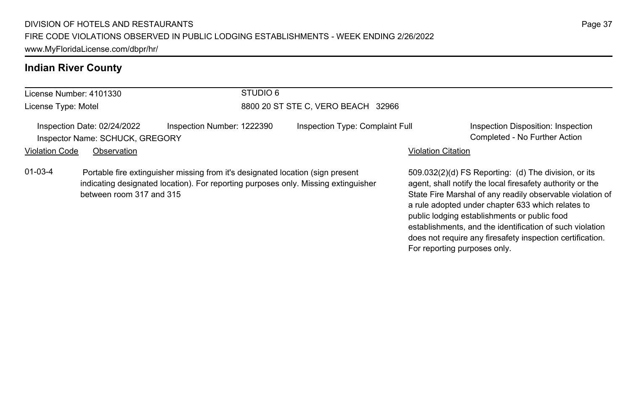# **Indian River County**

| License Number: 4101330 |                                                                |                                                                                                                                                                      | STUDIO 6                           |                                 |                           |                                                                                                                                                                                                                                     |  |
|-------------------------|----------------------------------------------------------------|----------------------------------------------------------------------------------------------------------------------------------------------------------------------|------------------------------------|---------------------------------|---------------------------|-------------------------------------------------------------------------------------------------------------------------------------------------------------------------------------------------------------------------------------|--|
| License Type: Motel     |                                                                |                                                                                                                                                                      | 8800 20 ST STE C, VERO BEACH 32966 |                                 |                           |                                                                                                                                                                                                                                     |  |
|                         | Inspection Date: 02/24/2022<br>Inspector Name: SCHUCK, GREGORY | Inspection Number: 1222390                                                                                                                                           |                                    | Inspection Type: Complaint Full |                           | Inspection Disposition: Inspection<br>Completed - No Further Action                                                                                                                                                                 |  |
| <b>Violation Code</b>   | Observation                                                    |                                                                                                                                                                      |                                    |                                 | <b>Violation Citation</b> |                                                                                                                                                                                                                                     |  |
| $01 - 03 - 4$           | between room 317 and 315                                       | Portable fire extinguisher missing from it's designated location (sign present<br>indicating designated location). For reporting purposes only. Missing extinguisher |                                    |                                 |                           | 509.032(2)(d) FS Reporting: (d) The division, or its<br>agent, shall notify the local firesafety authority or the<br>State Fire Marshal of any readily observable violation of<br>a rule adopted under chapter 633 which relates to |  |

a rule adopted under chapter 633 which relates to public lodging establishments or public food establishments, and the identification of such violation does not require any firesafety inspection certification. For reporting purposes only.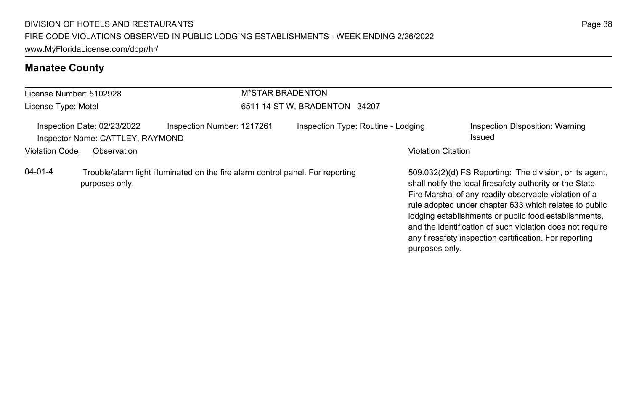# **Manatee County**

| License Number: 5102928 |                                                                 |                                                                                | <b>M*STAR BRADENTON</b> |                                    |                           |                                                                                                                                                                                                                                                                                                                                                                                                                        |
|-------------------------|-----------------------------------------------------------------|--------------------------------------------------------------------------------|-------------------------|------------------------------------|---------------------------|------------------------------------------------------------------------------------------------------------------------------------------------------------------------------------------------------------------------------------------------------------------------------------------------------------------------------------------------------------------------------------------------------------------------|
| License Type: Motel     |                                                                 |                                                                                |                         | 6511 14 ST W, BRADENTON 34207      |                           |                                                                                                                                                                                                                                                                                                                                                                                                                        |
|                         | Inspection Date: 02/23/2022<br>Inspector Name: CATTLEY, RAYMOND | Inspection Number: 1217261                                                     |                         | Inspection Type: Routine - Lodging |                           | Inspection Disposition: Warning<br>Issued                                                                                                                                                                                                                                                                                                                                                                              |
| <b>Violation Code</b>   | Observation                                                     |                                                                                |                         |                                    | <b>Violation Citation</b> |                                                                                                                                                                                                                                                                                                                                                                                                                        |
| 04-01-4                 | purposes only.                                                  | Trouble/alarm light illuminated on the fire alarm control panel. For reporting |                         |                                    | purposes only.            | 509.032(2)(d) FS Reporting: The division, or its agent,<br>shall notify the local firesafety authority or the State<br>Fire Marshal of any readily observable violation of a<br>rule adopted under chapter 633 which relates to public<br>lodging establishments or public food establishments,<br>and the identification of such violation does not require<br>any firesafety inspection certification. For reporting |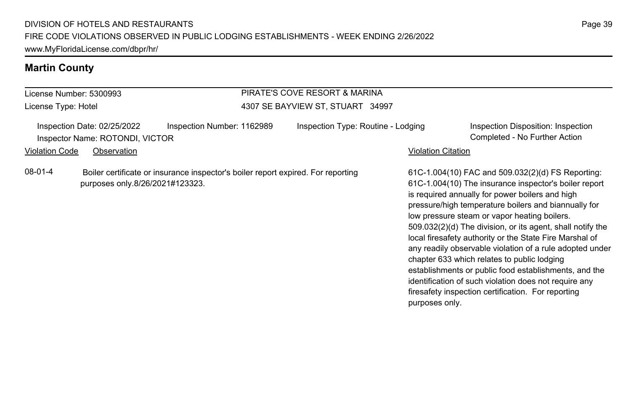### **Martin County**

#### License Number: 5300993 License Type: Hotel PIRATE'S COVE RESORT & MARINA 4307 SE BAYVIEW ST, STUART 34997 Inspection Date: 02/25/2022 Inspection Number: 1162989 Inspection Type: Routine - Lodging Inspection Disposition: Inspection Inspector Name: ROTONDI, VICTOR Completed - No Further Action Violation Code Observation **Violation Code** Observation **Violation** Violation Citation Citation Citation Citation 61C-1.004(10) FAC and 509.032(2)(d) FS Reporting: 61C-1.004(10) The insurance inspector's boiler report is required annually for power boilers and high pressure/high temperature boilers and biannually for low pressure steam or vapor heating boilers. 509.032(2)(d) The division, or its agent, shall notify the local firesafety authority or the State Fire Marshal of any readily observable violation of a rule adopted under chapter 633 which relates to public lodging establishments or public food establishments, and the identification of such violation does not require any firesafety inspection certification. For reporting purposes only. 08-01-4 Boiler certificate or insurance inspector's boiler report expired. For reporting purposes only.8/26/2021#123323.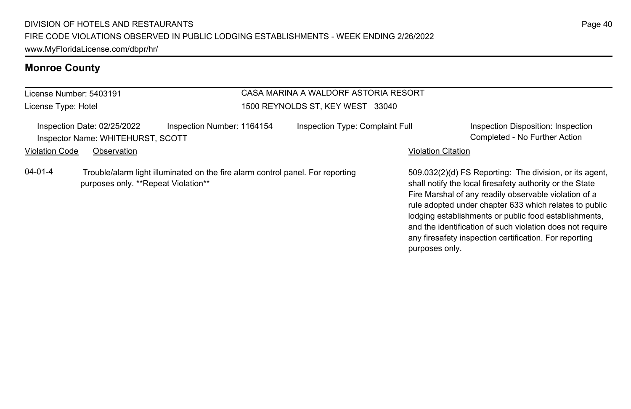## **Monroe County**

License Number: 5403191 License Type: Hotel

#### CASA MARINA A WALDORF ASTORIA RESORT 1500 REYNOLDS ST, KEY WEST 33040

Inspection Date: 02/25/2022 Inspection Number: 1164154 Inspection Type: Complaint Full Inspection Disposition: Inspection Inspector Name: WHITEHURST, SCOTT Completed - No Further Action

Violation Code Observation **Violation Code** Observation **Violation** Violation Citation Citation **Violation** 

04-01-4 Trouble/alarm light illuminated on the fire alarm control panel. For reporting purposes only. \*\*Repeat Violation\*\*

509.032(2)(d) FS Reporting: The division, or its agent, shall notify the local firesafety authority or the State Fire Marshal of any readily observable violation of a rule adopted under chapter 633 which relates to public lodging establishments or public food establishments, and the identification of such violation does not require any firesafety inspection certification. For reporting purposes only.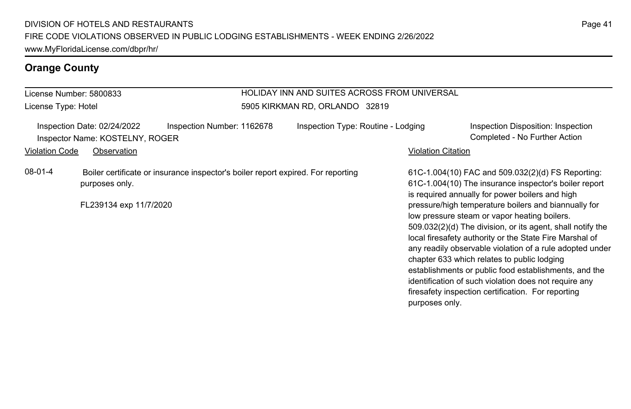## **Orange County**

#### License Number: 5800833 License Type: Hotel HOLIDAY INN AND SUITES ACROSS FROM UNIVERSAL 5905 KIRKMAN RD, ORLANDO 32819 Inspection Date: 02/24/2022 Inspection Number: 1162678 Inspection Type: Routine - Lodging Inspection Disposition: Inspection Inspector Name: KOSTELNY, ROGER Completed - No Further Action Violation Code Observation **Violation Code** Observation **Violation** Violation Citation Citation Citation Citation 61C-1.004(10) FAC and 509.032(2)(d) FS Reporting: 61C-1.004(10) The insurance inspector's boiler report is required annually for power boilers and high pressure/high temperature boilers and biannually for low pressure steam or vapor heating boilers. 509.032(2)(d) The division, or its agent, shall notify the local firesafety authority or the State Fire Marshal of any readily observable violation of a rule adopted under chapter 633 which relates to public lodging establishments or public food establishments, and the identification of such violation does not require any firesafety inspection certification. For reporting purposes only. 08-01-4 Boiler certificate or insurance inspector's boiler report expired. For reporting purposes only. FL239134 exp 11/7/2020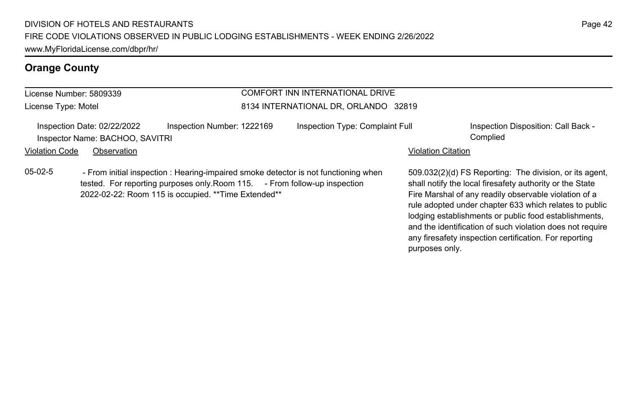## **Orange County**

#### License Number: 5809339 License Type: Motel COMFORT INN INTERNATIONAL DRIVE 8134 INTERNATIONAL DR, ORLANDO 32819 Inspection Date: 02/22/2022 Inspection Number: 1222169 Inspection Type: Complaint Full Inspection Disposition: Call Back -Inspector Name: BACHOO, SAVITRI Complied Violation Code Observation **Violation Code** Observation **Violation** Violation Citation Citation **Violation** 509.032(2)(d) FS Reporting: The division, or its agent, shall notify the local firesafety authority or the State Fire Marshal of any readily observable violation of a 05-02-5 - From initial inspection : Hearing-impaired smoke detector is not functioning when tested. For reporting purposes only. Room 115. - From follow-up inspection 2022-02-22: Room 115 is occupied. \*\*Time Extended\*\*

rule adopted under chapter 633 which relates to public lodging establishments or public food establishments, and the identification of such violation does not require any firesafety inspection certification. For reporting

purposes only.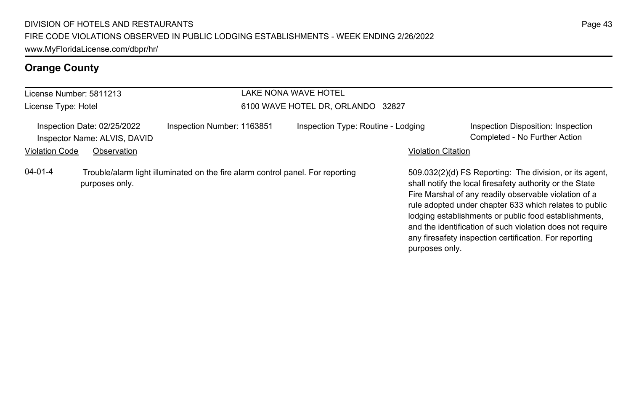## **Orange County**

#### License Number: 5811213 License Type: Hotel LAKE NONA WAVE HOTEL 6100 WAVE HOTEL DR, ORLANDO 32827 Inspection Date: 02/25/2022 Inspection Number: 1163851 Inspection Type: Routine - Lodging Inspection Disposition: Inspection Inspector Name: ALVIS, DAVID Completed - No Further Action Violation Code Observation **Violation Code** Observation **Violation** Violation Citation Citation **Violation** 509.032(2)(d) FS Reporting: The division, or its agent, shall notify the local firesafety authority or the State Fire Marshal of any readily observable violation of a rule adopted under chapter 633 which relates to public lodging establishments or public food establishments, and the identification of such violation does not require any firesafety inspection certification. For reporting purposes only. 04-01-4 Trouble/alarm light illuminated on the fire alarm control panel. For reporting purposes only.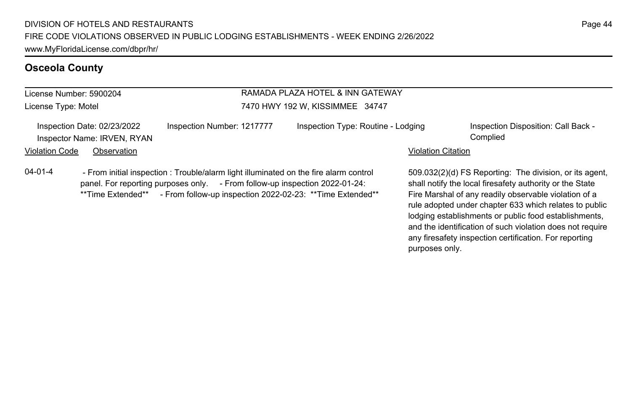| RAMADA PLAZA HOTEL & INN GATEWAY<br>License Number: 5900204 |                                                                                                                                                                                 |  |                                    |                           |                                                                                                                  |
|-------------------------------------------------------------|---------------------------------------------------------------------------------------------------------------------------------------------------------------------------------|--|------------------------------------|---------------------------|------------------------------------------------------------------------------------------------------------------|
| License Type: Motel                                         |                                                                                                                                                                                 |  | 7470 HWY 192 W, KISSIMMEE 34747    |                           |                                                                                                                  |
| Inspection Date: 02/23/2022<br>Inspector Name: IRVEN, RYAN  | Inspection Number: 1217777                                                                                                                                                      |  | Inspection Type: Routine - Lodging |                           | Inspection Disposition: Call Back -<br>Complied                                                                  |
| <b>Violation Code</b>                                       | Observation                                                                                                                                                                     |  |                                    | <b>Violation Citation</b> |                                                                                                                  |
| $04 - 01 - 4$                                               | - From initial inspection : Trouble/alarm light illuminated on the fire alarm control<br>$p$ nanel For reporting purposes only $p = 5$ From follow-up inspection $2022.01 - 24$ |  |                                    |                           | 509.032(2)(d) FS Reporting: The division, or its age<br>shall notify the local firesafety authority or the State |

panel. For reporting purposes only. - From follow-up inspection 2022-01-24: \*\*Time Extended\*\* - From follow-up inspection 2022-02-23: \*\*Time Extended\*\*

509.032(2)(d) FS Reporting: The division, or its agent, shall notify the local firesafety authority or the State Fire Marshal of any readily observable violation of a rule adopted under chapter 633 which relates to public lodging establishments or public food establishments, and the identification of such violation does not require any firesafety inspection certification. For reporting purposes only.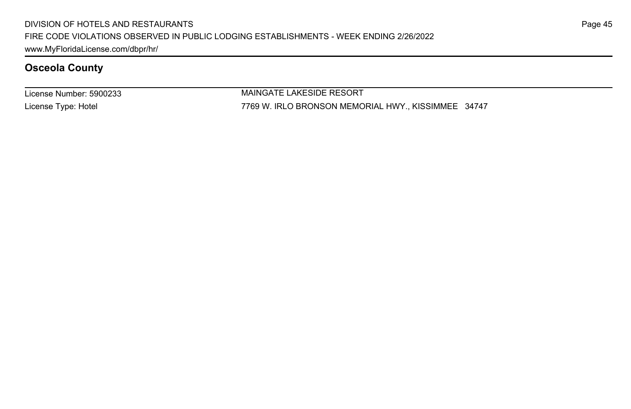License Number: 5900233 License Type: Hotel

MAINGATE LAKESIDE RESORT 7769 W. IRLO BRONSON MEMORIAL HWY., KISSIMMEE 34747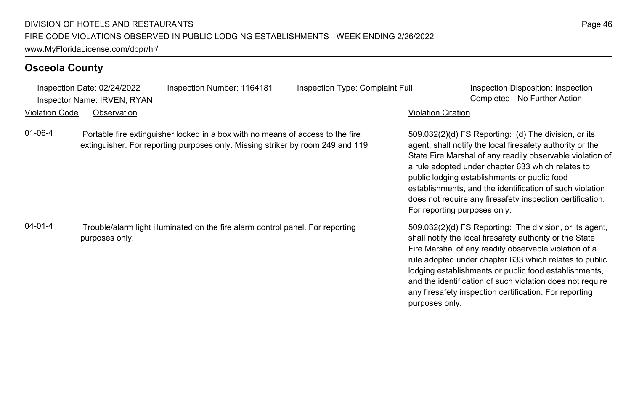|                       | Inspection Date: 02/24/2022<br>Inspector Name: IRVEN, RYAN | Inspection Number: 1164181                                                                                                                                       | Inspection Type: Complaint Full | Inspection Disposition: Inspection<br>Completed - No Further Action                                                                                                                                                                                                                                                                                                                                                                            |
|-----------------------|------------------------------------------------------------|------------------------------------------------------------------------------------------------------------------------------------------------------------------|---------------------------------|------------------------------------------------------------------------------------------------------------------------------------------------------------------------------------------------------------------------------------------------------------------------------------------------------------------------------------------------------------------------------------------------------------------------------------------------|
| <b>Violation Code</b> | Observation                                                |                                                                                                                                                                  |                                 | <b>Violation Citation</b>                                                                                                                                                                                                                                                                                                                                                                                                                      |
|                       |                                                            |                                                                                                                                                                  |                                 |                                                                                                                                                                                                                                                                                                                                                                                                                                                |
| 01-06-4               |                                                            | Portable fire extinguisher locked in a box with no means of access to the fire<br>extinguisher. For reporting purposes only. Missing striker by room 249 and 119 |                                 | $509.032(2)(d)$ FS Reporting: (d) The division, or its<br>agent, shall notify the local firesafety authority or the<br>State Fire Marshal of any readily observable violation of<br>a rule adopted under chapter 633 which relates to<br>public lodging establishments or public food<br>establishments, and the identification of such violation<br>does not require any firesafety inspection certification.<br>For reporting purposes only. |
| $04 - 01 - 4$         | purposes only.                                             | Trouble/alarm light illuminated on the fire alarm control panel. For reporting                                                                                   |                                 | 509.032(2)(d) FS Reporting: The division, or its agent,<br>shall notify the local firesafety authority or the State<br>Fire Marshal of any readily observable violation of a<br>rule adopted under chapter 633 which relates to public<br>lodging establishments or public food establishments,<br>and the identification of such violation does not require<br>any firesafety inspection certification. For reporting<br>purposes only.       |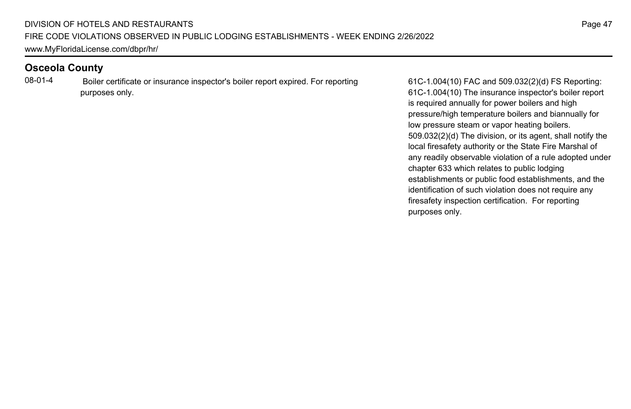08-01-4 Boiler certificate or insurance inspector's boiler report expired. For reporting purposes only.

61C-1.004(10) FAC and 509.032(2)(d) FS Reporting: 61C-1.004(10) The insurance inspector's boiler report is required annually for power boilers and high pressure/high temperature boilers and biannually for low pressure steam or vapor heating boilers. 509.032(2)(d) The division, or its agent, shall notify the local firesafety authority or the State Fire Marshal of any readily observable violation of a rule adopted under chapter 633 which relates to public lodging establishments or public food establishments, and the identification of such violation does not require any firesafety inspection certification. For reporting purposes only.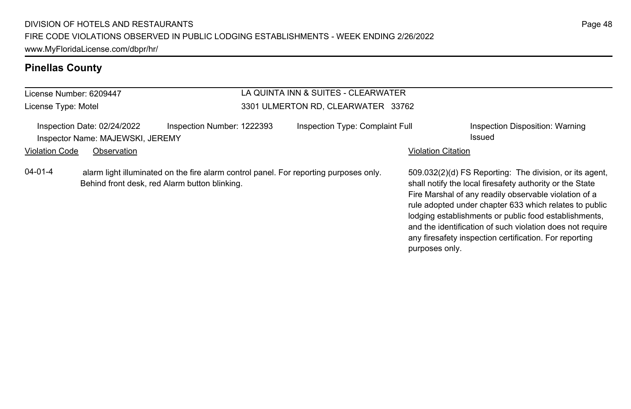### **Pinellas County**

#### License Number: 6209447 License Type: Motel LA QUINTA INN & SUITES - CLEARWATER 3301 ULMERTON RD, CLEARWATER 33762 Inspection Date: 02/24/2022 Inspection Number: 1222393 Inspection Type: Complaint Full Inspection Disposition: Warning Inspector Name: MAJEWSKI, JEREMY Issued Violation Code Observation **Violation Code** Observation **Violation** Violation Citation Citation **Violation** 509.032(2)(d) FS Reporting: The division, or its agent, shall notify the local firesafety authority or the State Fire Marshal of any readily observable violation of a rule adopted under chapter 633 which relates to public lodging establishments or public food establishments, and the identification of such violation does not require any firesafety inspection certification. For reporting 04-01-4 alarm light illuminated on the fire alarm control panel. For reporting purposes only. Behind front desk, red Alarm button blinking.

purposes only.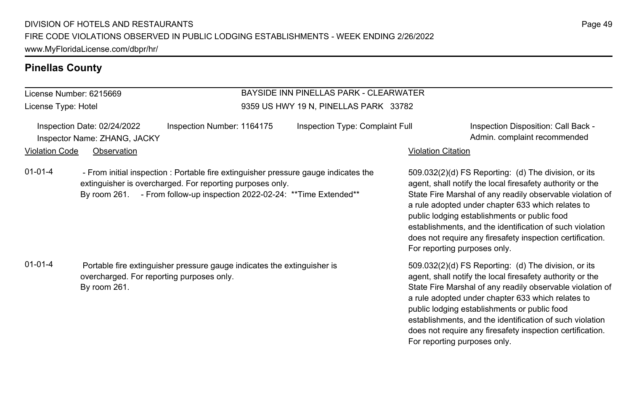### **Pinellas County**

## License Number: 6215669

License Type: Hotel

#### BAYSIDE INN PINELLAS PARK - CLEARWATER 9359 US HWY 19 N, PINELLAS PARK 33782

Inspection Date: 02/24/2022 Inspection Number: 1164175 Inspection Type: Complaint Full Inspection Disposition: Call Back -Inspector Name: ZHANG, JACKY **Admin.** complaint recommended

#### Violation Code Observation **Violation Code** Observation **Violation** Violation Citation Citation Citation Citation

01-01-4 - From initial inspection : Portable fire extinguisher pressure gauge indicates the extinguisher is overcharged. For reporting purposes only. By room 261. - From follow-up inspection 2022-02-24: \*\* Time Extended\*\*

01-01-4 Portable fire extinguisher pressure gauge indicates the extinguisher is overcharged. For reporting purposes only. By room 261.

509.032(2)(d) FS Reporting: (d) The division, or its agent, shall notify the local firesafety authority or the State Fire Marshal of any readily observable violation of a rule adopted under chapter 633 which relates to public lodging establishments or public food establishments, and the identification of such violation does not require any firesafety inspection certification. For reporting purposes only.

509.032(2)(d) FS Reporting: (d) The division, or its agent, shall notify the local firesafety authority or the State Fire Marshal of any readily observable violation of a rule adopted under chapter 633 which relates to public lodging establishments or public food establishments, and the identification of such violation does not require any firesafety inspection certification. For reporting purposes only.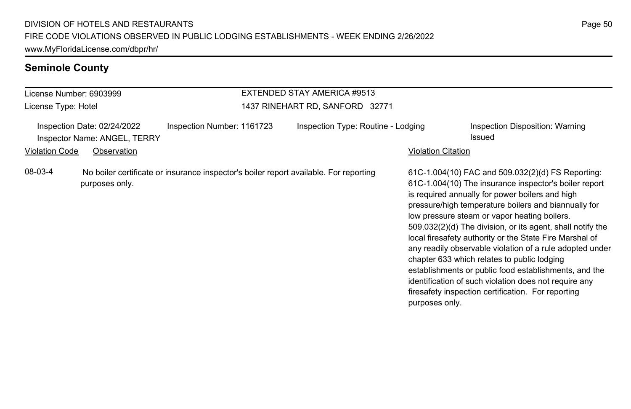# **Seminole County**

| License Number: 6903999                                                                                            |  |                                 | EXTENDED STAY AMERICA #9513                              |  |                                                                                                                                                                                                                                                                                                                                                                                                                                                                                                                                                                                                                                                                                   |  |
|--------------------------------------------------------------------------------------------------------------------|--|---------------------------------|----------------------------------------------------------|--|-----------------------------------------------------------------------------------------------------------------------------------------------------------------------------------------------------------------------------------------------------------------------------------------------------------------------------------------------------------------------------------------------------------------------------------------------------------------------------------------------------------------------------------------------------------------------------------------------------------------------------------------------------------------------------------|--|
| License Type: Hotel                                                                                                |  | 1437 RINEHART RD, SANFORD 32771 |                                                          |  |                                                                                                                                                                                                                                                                                                                                                                                                                                                                                                                                                                                                                                                                                   |  |
| Inspection Date: 02/24/2022<br>Inspector Name: ANGEL, TERRY<br><b>Violation Code</b><br>Observation                |  | Inspection Number: 1161723      | Inspection Type: Routine - Lodging<br>Violation Citation |  | Inspection Disposition: Warning<br>Issued                                                                                                                                                                                                                                                                                                                                                                                                                                                                                                                                                                                                                                         |  |
| 08-03-4<br>No boiler certificate or insurance inspector's boiler report available. For reporting<br>purposes only. |  |                                 | purposes only.                                           |  | 61C-1.004(10) FAC and 509.032(2)(d) FS Reporting:<br>61C-1.004(10) The insurance inspector's boiler report<br>is required annually for power boilers and high<br>pressure/high temperature boilers and biannually for<br>low pressure steam or vapor heating boilers.<br>509.032(2)(d) The division, or its agent, shall notify the<br>local firesafety authority or the State Fire Marshal of<br>any readily observable violation of a rule adopted under<br>chapter 633 which relates to public lodging<br>establishments or public food establishments, and the<br>identification of such violation does not require any<br>firesafety inspection certification. For reporting |  |